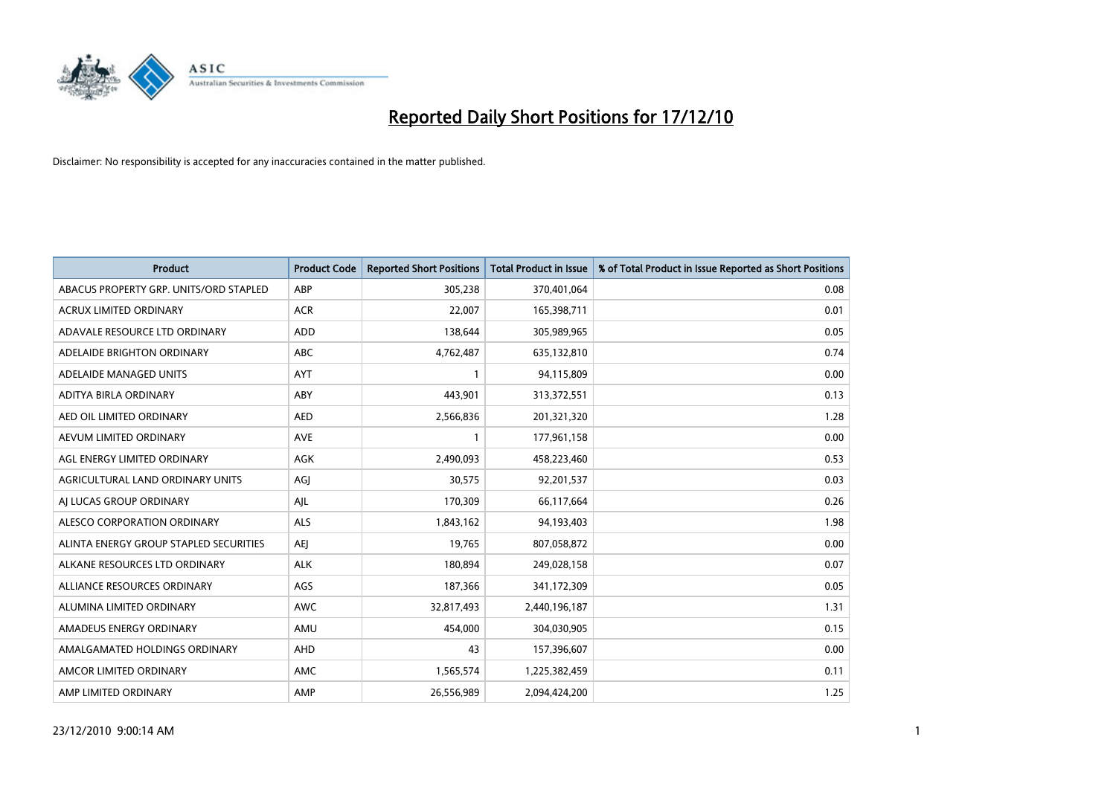

| <b>Product</b>                         | <b>Product Code</b> | <b>Reported Short Positions</b> | <b>Total Product in Issue</b> | % of Total Product in Issue Reported as Short Positions |
|----------------------------------------|---------------------|---------------------------------|-------------------------------|---------------------------------------------------------|
| ABACUS PROPERTY GRP. UNITS/ORD STAPLED | ABP                 | 305,238                         | 370,401,064                   | 0.08                                                    |
| ACRUX LIMITED ORDINARY                 | <b>ACR</b>          | 22,007                          | 165,398,711                   | 0.01                                                    |
| ADAVALE RESOURCE LTD ORDINARY          | <b>ADD</b>          | 138,644                         | 305,989,965                   | 0.05                                                    |
| ADELAIDE BRIGHTON ORDINARY             | <b>ABC</b>          | 4,762,487                       | 635,132,810                   | 0.74                                                    |
| ADELAIDE MANAGED UNITS                 | <b>AYT</b>          |                                 | 94,115,809                    | 0.00                                                    |
| ADITYA BIRLA ORDINARY                  | ABY                 | 443,901                         | 313,372,551                   | 0.13                                                    |
| AED OIL LIMITED ORDINARY               | <b>AED</b>          | 2,566,836                       | 201,321,320                   | 1.28                                                    |
| AEVUM LIMITED ORDINARY                 | <b>AVE</b>          |                                 | 177,961,158                   | 0.00                                                    |
| AGL ENERGY LIMITED ORDINARY            | <b>AGK</b>          | 2,490,093                       | 458,223,460                   | 0.53                                                    |
| AGRICULTURAL LAND ORDINARY UNITS       | AGI                 | 30,575                          | 92,201,537                    | 0.03                                                    |
| AI LUCAS GROUP ORDINARY                | AJL                 | 170,309                         | 66,117,664                    | 0.26                                                    |
| ALESCO CORPORATION ORDINARY            | <b>ALS</b>          | 1,843,162                       | 94,193,403                    | 1.98                                                    |
| ALINTA ENERGY GROUP STAPLED SECURITIES | <b>AEI</b>          | 19,765                          | 807,058,872                   | 0.00                                                    |
| ALKANE RESOURCES LTD ORDINARY          | <b>ALK</b>          | 180,894                         | 249,028,158                   | 0.07                                                    |
| ALLIANCE RESOURCES ORDINARY            | AGS                 | 187,366                         | 341,172,309                   | 0.05                                                    |
| ALUMINA LIMITED ORDINARY               | <b>AWC</b>          | 32,817,493                      | 2,440,196,187                 | 1.31                                                    |
| AMADEUS ENERGY ORDINARY                | AMU                 | 454,000                         | 304,030,905                   | 0.15                                                    |
| AMALGAMATED HOLDINGS ORDINARY          | AHD                 | 43                              | 157,396,607                   | 0.00                                                    |
| AMCOR LIMITED ORDINARY                 | AMC                 | 1,565,574                       | 1,225,382,459                 | 0.11                                                    |
| AMP LIMITED ORDINARY                   | AMP                 | 26,556,989                      | 2,094,424,200                 | 1.25                                                    |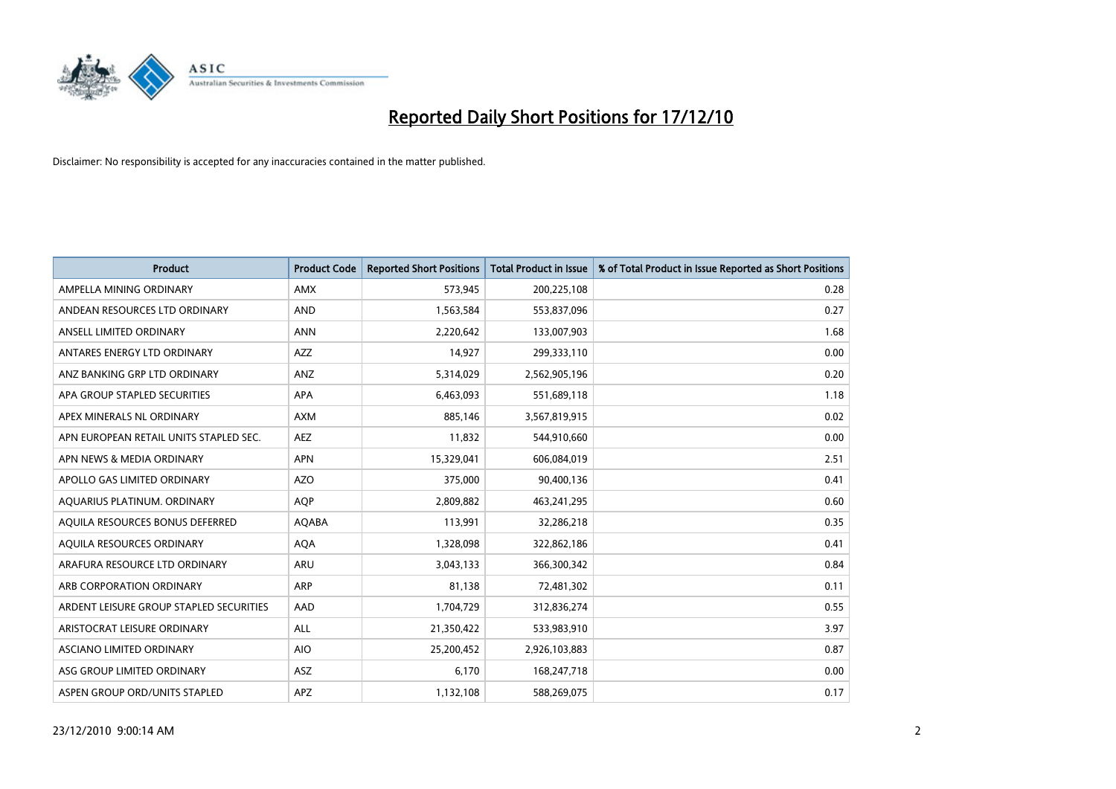

| <b>Product</b>                          | <b>Product Code</b> | <b>Reported Short Positions</b> | Total Product in Issue | % of Total Product in Issue Reported as Short Positions |
|-----------------------------------------|---------------------|---------------------------------|------------------------|---------------------------------------------------------|
| AMPELLA MINING ORDINARY                 | <b>AMX</b>          | 573,945                         | 200,225,108            | 0.28                                                    |
| ANDEAN RESOURCES LTD ORDINARY           | <b>AND</b>          | 1,563,584                       | 553,837,096            | 0.27                                                    |
| ANSELL LIMITED ORDINARY                 | <b>ANN</b>          | 2,220,642                       | 133,007,903            | 1.68                                                    |
| ANTARES ENERGY LTD ORDINARY             | <b>AZZ</b>          | 14,927                          | 299,333,110            | 0.00                                                    |
| ANZ BANKING GRP LTD ORDINARY            | ANZ                 | 5,314,029                       | 2,562,905,196          | 0.20                                                    |
| APA GROUP STAPLED SECURITIES            | <b>APA</b>          | 6,463,093                       | 551,689,118            | 1.18                                                    |
| APEX MINERALS NL ORDINARY               | <b>AXM</b>          | 885.146                         | 3,567,819,915          | 0.02                                                    |
| APN EUROPEAN RETAIL UNITS STAPLED SEC.  | AEZ                 | 11,832                          | 544,910,660            | 0.00                                                    |
| APN NEWS & MEDIA ORDINARY               | <b>APN</b>          | 15,329,041                      | 606,084,019            | 2.51                                                    |
| APOLLO GAS LIMITED ORDINARY             | <b>AZO</b>          | 375,000                         | 90,400,136             | 0.41                                                    |
| AQUARIUS PLATINUM. ORDINARY             | AQP                 | 2,809,882                       | 463,241,295            | 0.60                                                    |
| AQUILA RESOURCES BONUS DEFERRED         | <b>AQABA</b>        | 113,991                         | 32,286,218             | 0.35                                                    |
| AQUILA RESOURCES ORDINARY               | <b>AQA</b>          | 1,328,098                       | 322,862,186            | 0.41                                                    |
| ARAFURA RESOURCE LTD ORDINARY           | <b>ARU</b>          | 3,043,133                       | 366,300,342            | 0.84                                                    |
| ARB CORPORATION ORDINARY                | ARP                 | 81,138                          | 72,481,302             | 0.11                                                    |
| ARDENT LEISURE GROUP STAPLED SECURITIES | AAD                 | 1,704,729                       | 312,836,274            | 0.55                                                    |
| ARISTOCRAT LEISURE ORDINARY             | <b>ALL</b>          | 21,350,422                      | 533,983,910            | 3.97                                                    |
| ASCIANO LIMITED ORDINARY                | <b>AIO</b>          | 25,200,452                      | 2,926,103,883          | 0.87                                                    |
| ASG GROUP LIMITED ORDINARY              | <b>ASZ</b>          | 6,170                           | 168,247,718            | 0.00                                                    |
| ASPEN GROUP ORD/UNITS STAPLED           | <b>APZ</b>          | 1,132,108                       | 588,269,075            | 0.17                                                    |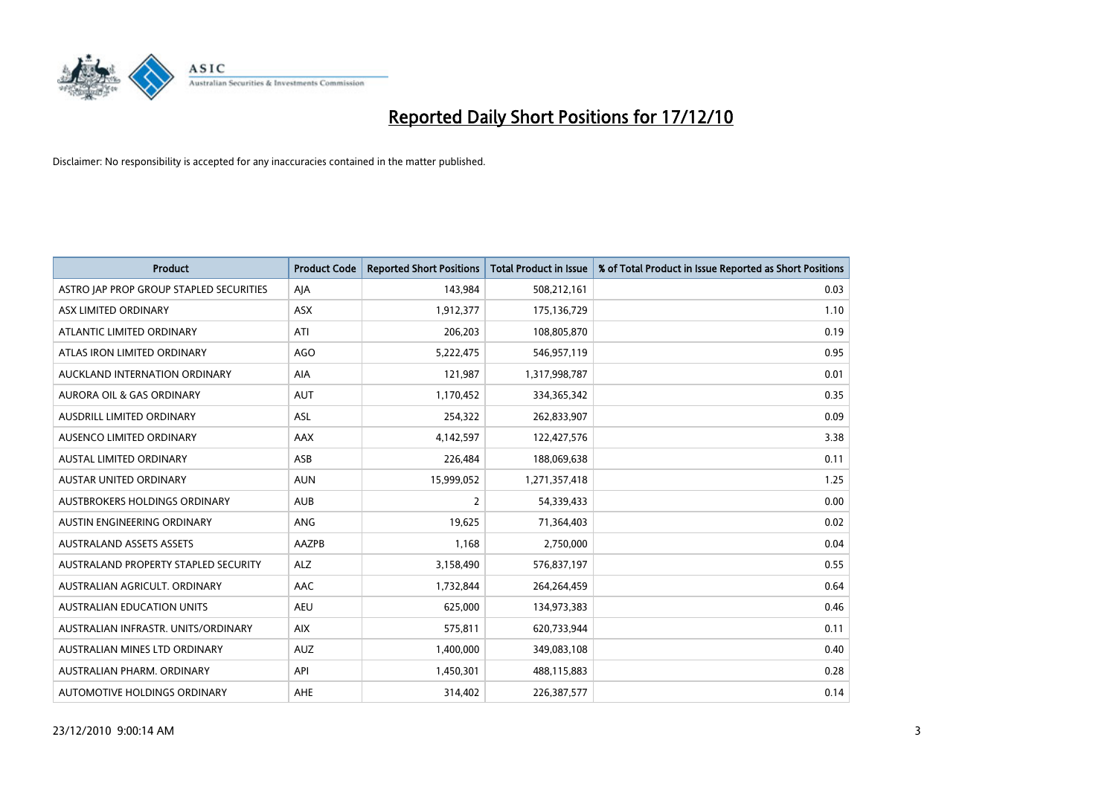

| <b>Product</b>                          | <b>Product Code</b> | <b>Reported Short Positions</b> | <b>Total Product in Issue</b> | % of Total Product in Issue Reported as Short Positions |
|-----------------------------------------|---------------------|---------------------------------|-------------------------------|---------------------------------------------------------|
| ASTRO JAP PROP GROUP STAPLED SECURITIES | AJA                 | 143,984                         | 508,212,161                   | 0.03                                                    |
| ASX LIMITED ORDINARY                    | <b>ASX</b>          | 1,912,377                       | 175,136,729                   | 1.10                                                    |
| ATLANTIC LIMITED ORDINARY               | ATI                 | 206,203                         | 108,805,870                   | 0.19                                                    |
| ATLAS IRON LIMITED ORDINARY             | <b>AGO</b>          | 5,222,475                       | 546,957,119                   | 0.95                                                    |
| <b>AUCKLAND INTERNATION ORDINARY</b>    | AIA                 | 121,987                         | 1,317,998,787                 | 0.01                                                    |
| AURORA OIL & GAS ORDINARY               | <b>AUT</b>          | 1,170,452                       | 334, 365, 342                 | 0.35                                                    |
| <b>AUSDRILL LIMITED ORDINARY</b>        | <b>ASL</b>          | 254,322                         | 262,833,907                   | 0.09                                                    |
| AUSENCO LIMITED ORDINARY                | AAX                 | 4,142,597                       | 122,427,576                   | 3.38                                                    |
| AUSTAL LIMITED ORDINARY                 | ASB                 | 226,484                         | 188,069,638                   | 0.11                                                    |
| <b>AUSTAR UNITED ORDINARY</b>           | <b>AUN</b>          | 15,999,052                      | 1,271,357,418                 | 1.25                                                    |
| AUSTBROKERS HOLDINGS ORDINARY           | <b>AUB</b>          | 2                               | 54,339,433                    | 0.00                                                    |
| AUSTIN ENGINEERING ORDINARY             | ANG                 | 19,625                          | 71,364,403                    | 0.02                                                    |
| <b>AUSTRALAND ASSETS ASSETS</b>         | <b>AAZPB</b>        | 1,168                           | 2,750,000                     | 0.04                                                    |
| AUSTRALAND PROPERTY STAPLED SECURITY    | <b>ALZ</b>          | 3,158,490                       | 576,837,197                   | 0.55                                                    |
| AUSTRALIAN AGRICULT, ORDINARY           | AAC                 | 1,732,844                       | 264,264,459                   | 0.64                                                    |
| AUSTRALIAN EDUCATION UNITS              | <b>AEU</b>          | 625,000                         | 134,973,383                   | 0.46                                                    |
| AUSTRALIAN INFRASTR, UNITS/ORDINARY     | <b>AIX</b>          | 575,811                         | 620,733,944                   | 0.11                                                    |
| AUSTRALIAN MINES LTD ORDINARY           | <b>AUZ</b>          | 1,400,000                       | 349,083,108                   | 0.40                                                    |
| AUSTRALIAN PHARM, ORDINARY              | API                 | 1,450,301                       | 488,115,883                   | 0.28                                                    |
| AUTOMOTIVE HOLDINGS ORDINARY            | AHE                 | 314,402                         | 226,387,577                   | 0.14                                                    |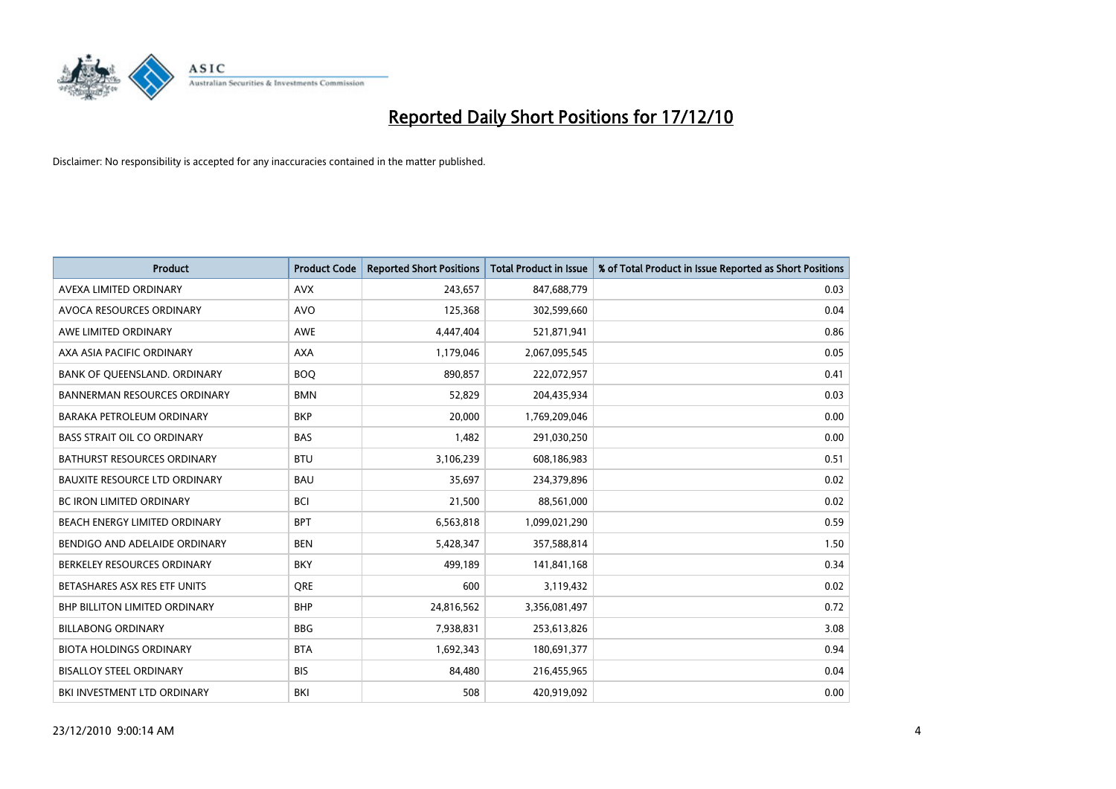

| <b>Product</b>                       | <b>Product Code</b> | <b>Reported Short Positions</b> | Total Product in Issue | % of Total Product in Issue Reported as Short Positions |
|--------------------------------------|---------------------|---------------------------------|------------------------|---------------------------------------------------------|
| AVEXA LIMITED ORDINARY               | <b>AVX</b>          | 243,657                         | 847,688,779            | 0.03                                                    |
| AVOCA RESOURCES ORDINARY             | <b>AVO</b>          | 125,368                         | 302,599,660            | 0.04                                                    |
| AWE LIMITED ORDINARY                 | <b>AWE</b>          | 4,447,404                       | 521,871,941            | 0.86                                                    |
| AXA ASIA PACIFIC ORDINARY            | <b>AXA</b>          | 1,179,046                       | 2,067,095,545          | 0.05                                                    |
| BANK OF OUEENSLAND, ORDINARY         | <b>BOO</b>          | 890.857                         | 222,072,957            | 0.41                                                    |
| <b>BANNERMAN RESOURCES ORDINARY</b>  | <b>BMN</b>          | 52,829                          | 204,435,934            | 0.03                                                    |
| <b>BARAKA PETROLEUM ORDINARY</b>     | <b>BKP</b>          | 20.000                          | 1,769,209,046          | 0.00                                                    |
| <b>BASS STRAIT OIL CO ORDINARY</b>   | <b>BAS</b>          | 1,482                           | 291,030,250            | 0.00                                                    |
| <b>BATHURST RESOURCES ORDINARY</b>   | <b>BTU</b>          | 3,106,239                       | 608,186,983            | 0.51                                                    |
| <b>BAUXITE RESOURCE LTD ORDINARY</b> | <b>BAU</b>          | 35.697                          | 234,379,896            | 0.02                                                    |
| <b>BC IRON LIMITED ORDINARY</b>      | <b>BCI</b>          | 21,500                          | 88,561,000             | 0.02                                                    |
| BEACH ENERGY LIMITED ORDINARY        | <b>BPT</b>          | 6,563,818                       | 1,099,021,290          | 0.59                                                    |
| BENDIGO AND ADELAIDE ORDINARY        | <b>BEN</b>          | 5.428.347                       | 357,588,814            | 1.50                                                    |
| BERKELEY RESOURCES ORDINARY          | <b>BKY</b>          | 499.189                         | 141,841,168            | 0.34                                                    |
| BETASHARES ASX RES ETF UNITS         | <b>ORE</b>          | 600                             | 3,119,432              | 0.02                                                    |
| <b>BHP BILLITON LIMITED ORDINARY</b> | <b>BHP</b>          | 24,816,562                      | 3,356,081,497          | 0.72                                                    |
| <b>BILLABONG ORDINARY</b>            | <b>BBG</b>          | 7,938,831                       | 253,613,826            | 3.08                                                    |
| <b>BIOTA HOLDINGS ORDINARY</b>       | <b>BTA</b>          | 1,692,343                       | 180,691,377            | 0.94                                                    |
| <b>BISALLOY STEEL ORDINARY</b>       | <b>BIS</b>          | 84,480                          | 216,455,965            | 0.04                                                    |
| BKI INVESTMENT LTD ORDINARY          | BKI                 | 508                             | 420,919,092            | 0.00                                                    |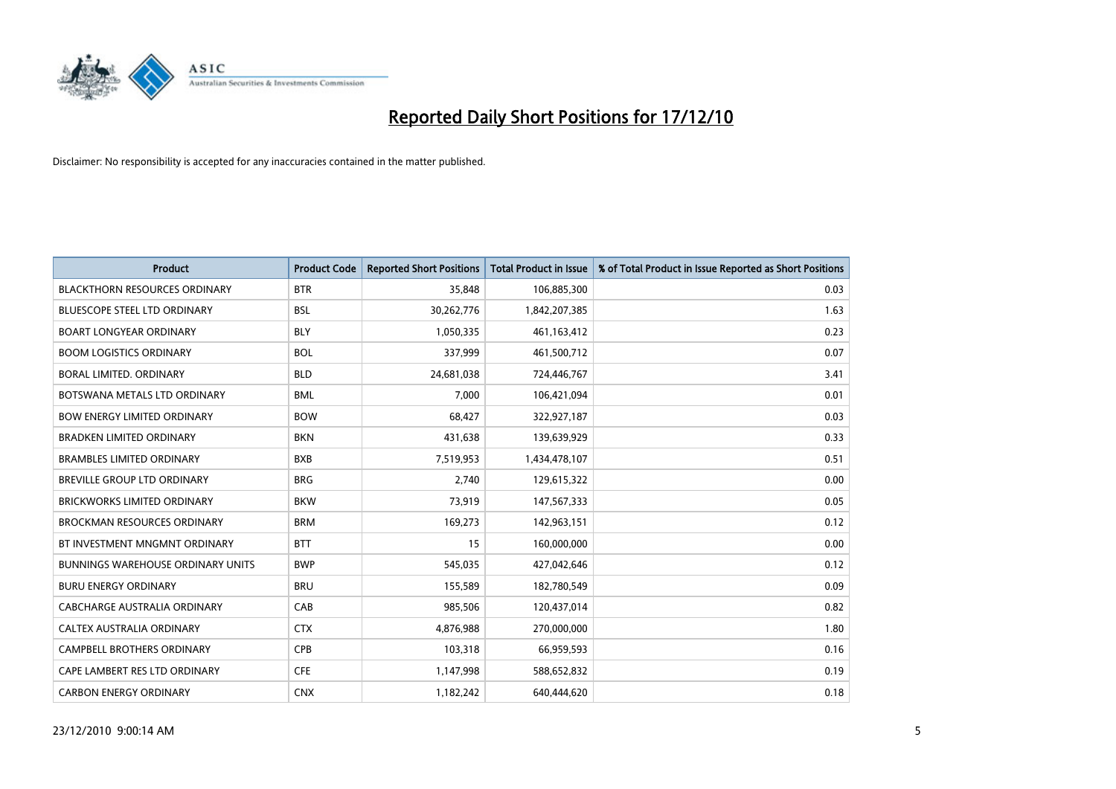

| <b>Product</b>                           | <b>Product Code</b> | <b>Reported Short Positions</b> | <b>Total Product in Issue</b> | % of Total Product in Issue Reported as Short Positions |
|------------------------------------------|---------------------|---------------------------------|-------------------------------|---------------------------------------------------------|
| <b>BLACKTHORN RESOURCES ORDINARY</b>     | <b>BTR</b>          | 35.848                          | 106,885,300                   | 0.03                                                    |
| <b>BLUESCOPE STEEL LTD ORDINARY</b>      | <b>BSL</b>          | 30,262,776                      | 1,842,207,385                 | 1.63                                                    |
| <b>BOART LONGYEAR ORDINARY</b>           | <b>BLY</b>          | 1,050,335                       | 461, 163, 412                 | 0.23                                                    |
| <b>BOOM LOGISTICS ORDINARY</b>           | <b>BOL</b>          | 337,999                         | 461,500,712                   | 0.07                                                    |
| BORAL LIMITED, ORDINARY                  | <b>BLD</b>          | 24,681,038                      | 724,446,767                   | 3.41                                                    |
| BOTSWANA METALS LTD ORDINARY             | <b>BML</b>          | 7,000                           | 106,421,094                   | 0.01                                                    |
| <b>BOW ENERGY LIMITED ORDINARY</b>       | <b>BOW</b>          | 68,427                          | 322,927,187                   | 0.03                                                    |
| <b>BRADKEN LIMITED ORDINARY</b>          | <b>BKN</b>          | 431,638                         | 139,639,929                   | 0.33                                                    |
| <b>BRAMBLES LIMITED ORDINARY</b>         | <b>BXB</b>          | 7,519,953                       | 1,434,478,107                 | 0.51                                                    |
| <b>BREVILLE GROUP LTD ORDINARY</b>       | <b>BRG</b>          | 2,740                           | 129,615,322                   | 0.00                                                    |
| BRICKWORKS LIMITED ORDINARY              | <b>BKW</b>          | 73,919                          | 147,567,333                   | 0.05                                                    |
| <b>BROCKMAN RESOURCES ORDINARY</b>       | <b>BRM</b>          | 169,273                         | 142,963,151                   | 0.12                                                    |
| BT INVESTMENT MNGMNT ORDINARY            | <b>BTT</b>          | 15                              | 160,000,000                   | 0.00                                                    |
| <b>BUNNINGS WAREHOUSE ORDINARY UNITS</b> | <b>BWP</b>          | 545,035                         | 427,042,646                   | 0.12                                                    |
| <b>BURU ENERGY ORDINARY</b>              | <b>BRU</b>          | 155,589                         | 182,780,549                   | 0.09                                                    |
| CABCHARGE AUSTRALIA ORDINARY             | CAB                 | 985,506                         | 120,437,014                   | 0.82                                                    |
| CALTEX AUSTRALIA ORDINARY                | <b>CTX</b>          | 4,876,988                       | 270,000,000                   | 1.80                                                    |
| CAMPBELL BROTHERS ORDINARY               | <b>CPB</b>          | 103,318                         | 66,959,593                    | 0.16                                                    |
| CAPE LAMBERT RES LTD ORDINARY            | <b>CFE</b>          | 1,147,998                       | 588,652,832                   | 0.19                                                    |
| <b>CARBON ENERGY ORDINARY</b>            | <b>CNX</b>          | 1,182,242                       | 640,444,620                   | 0.18                                                    |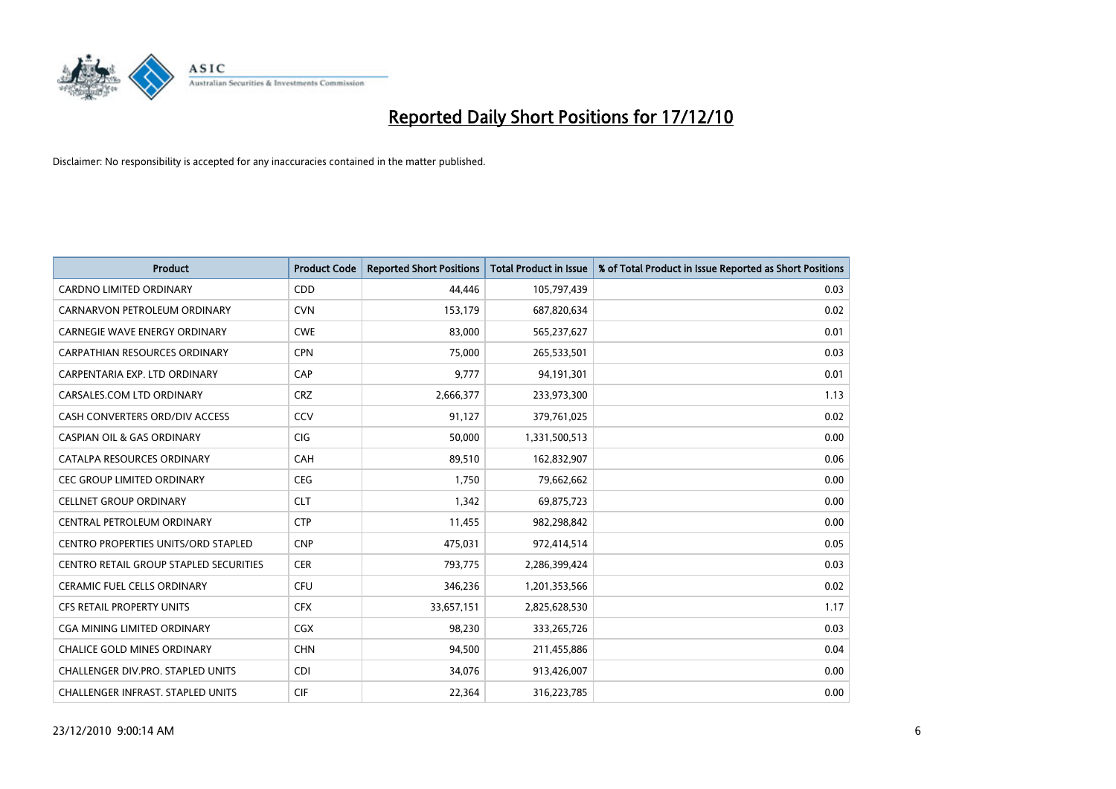

| <b>Product</b>                                | <b>Product Code</b> | <b>Reported Short Positions</b> | <b>Total Product in Issue</b> | % of Total Product in Issue Reported as Short Positions |
|-----------------------------------------------|---------------------|---------------------------------|-------------------------------|---------------------------------------------------------|
| <b>CARDNO LIMITED ORDINARY</b>                | CDD                 | 44.446                          | 105,797,439                   | 0.03                                                    |
| CARNARVON PETROLEUM ORDINARY                  | <b>CVN</b>          | 153,179                         | 687,820,634                   | 0.02                                                    |
| <b>CARNEGIE WAVE ENERGY ORDINARY</b>          | <b>CWE</b>          | 83.000                          | 565,237,627                   | 0.01                                                    |
| CARPATHIAN RESOURCES ORDINARY                 | <b>CPN</b>          | 75,000                          | 265,533,501                   | 0.03                                                    |
| CARPENTARIA EXP. LTD ORDINARY                 | CAP                 | 9,777                           | 94,191,301                    | 0.01                                                    |
| CARSALES.COM LTD ORDINARY                     | <b>CRZ</b>          | 2,666,377                       | 233,973,300                   | 1.13                                                    |
| CASH CONVERTERS ORD/DIV ACCESS                | CCV                 | 91,127                          | 379,761,025                   | 0.02                                                    |
| <b>CASPIAN OIL &amp; GAS ORDINARY</b>         | <b>CIG</b>          | 50,000                          | 1,331,500,513                 | 0.00                                                    |
| CATALPA RESOURCES ORDINARY                    | CAH                 | 89,510                          | 162,832,907                   | 0.06                                                    |
| <b>CEC GROUP LIMITED ORDINARY</b>             | CEG                 | 1,750                           | 79,662,662                    | 0.00                                                    |
| <b>CELLNET GROUP ORDINARY</b>                 | <b>CLT</b>          | 1,342                           | 69,875,723                    | 0.00                                                    |
| CENTRAL PETROLEUM ORDINARY                    | <b>CTP</b>          | 11,455                          | 982,298,842                   | 0.00                                                    |
| <b>CENTRO PROPERTIES UNITS/ORD STAPLED</b>    | <b>CNP</b>          | 475,031                         | 972,414,514                   | 0.05                                                    |
| <b>CENTRO RETAIL GROUP STAPLED SECURITIES</b> | <b>CER</b>          | 793,775                         | 2,286,399,424                 | 0.03                                                    |
| <b>CERAMIC FUEL CELLS ORDINARY</b>            | <b>CFU</b>          | 346,236                         | 1,201,353,566                 | 0.02                                                    |
| CFS RETAIL PROPERTY UNITS                     | <b>CFX</b>          | 33,657,151                      | 2,825,628,530                 | 1.17                                                    |
| CGA MINING LIMITED ORDINARY                   | CGX                 | 98,230                          | 333,265,726                   | 0.03                                                    |
| CHALICE GOLD MINES ORDINARY                   | <b>CHN</b>          | 94,500                          | 211,455,886                   | 0.04                                                    |
| <b>CHALLENGER DIV.PRO. STAPLED UNITS</b>      | <b>CDI</b>          | 34,076                          | 913,426,007                   | 0.00                                                    |
| CHALLENGER INFRAST. STAPLED UNITS             | <b>CIF</b>          | 22,364                          | 316,223,785                   | 0.00                                                    |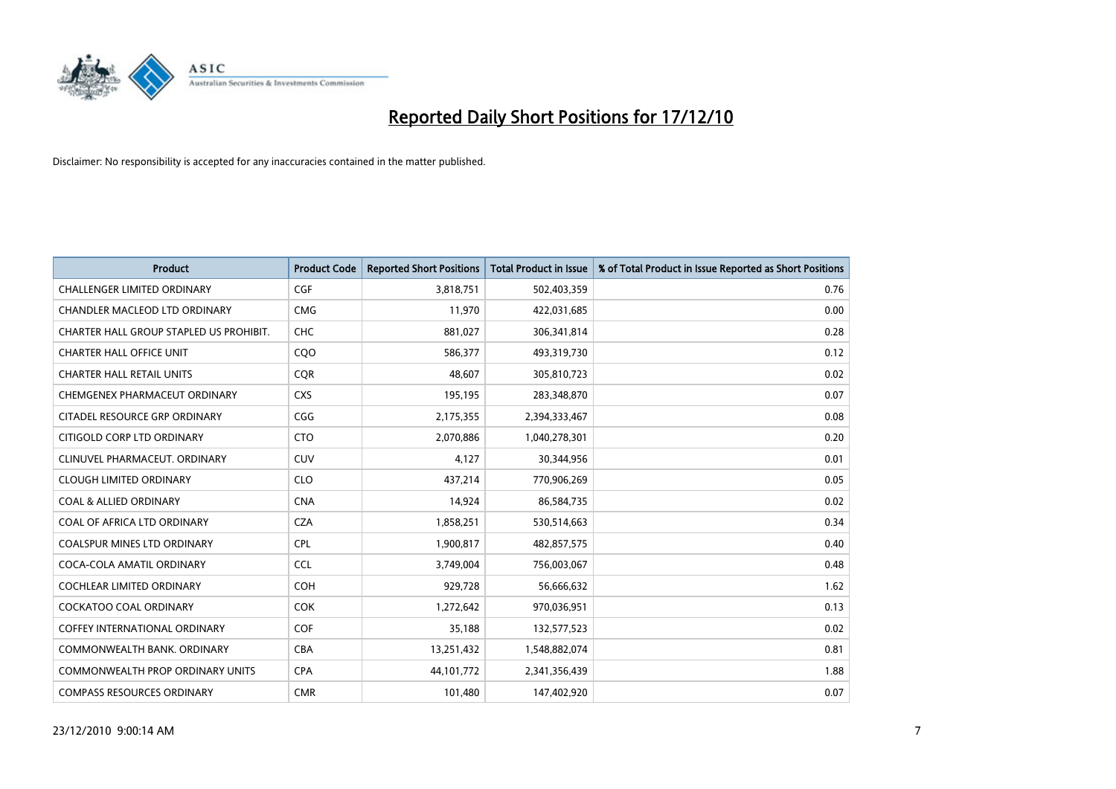

| <b>Product</b>                          | <b>Product Code</b> | <b>Reported Short Positions</b> | Total Product in Issue | % of Total Product in Issue Reported as Short Positions |
|-----------------------------------------|---------------------|---------------------------------|------------------------|---------------------------------------------------------|
| <b>CHALLENGER LIMITED ORDINARY</b>      | CGF                 | 3,818,751                       | 502,403,359            | 0.76                                                    |
| CHANDLER MACLEOD LTD ORDINARY           | <b>CMG</b>          | 11.970                          | 422,031,685            | 0.00                                                    |
| CHARTER HALL GROUP STAPLED US PROHIBIT. | <b>CHC</b>          | 881,027                         | 306,341,814            | 0.28                                                    |
| <b>CHARTER HALL OFFICE UNIT</b>         | COO                 | 586,377                         | 493,319,730            | 0.12                                                    |
| <b>CHARTER HALL RETAIL UNITS</b>        | <b>COR</b>          | 48.607                          | 305,810,723            | 0.02                                                    |
| CHEMGENEX PHARMACEUT ORDINARY           | <b>CXS</b>          | 195,195                         | 283,348,870            | 0.07                                                    |
| CITADEL RESOURCE GRP ORDINARY           | CGG                 | 2,175,355                       | 2,394,333,467          | 0.08                                                    |
| CITIGOLD CORP LTD ORDINARY              | <b>CTO</b>          | 2,070,886                       | 1,040,278,301          | 0.20                                                    |
| CLINUVEL PHARMACEUT. ORDINARY           | <b>CUV</b>          | 4,127                           | 30,344,956             | 0.01                                                    |
| <b>CLOUGH LIMITED ORDINARY</b>          | <b>CLO</b>          | 437,214                         | 770,906,269            | 0.05                                                    |
| <b>COAL &amp; ALLIED ORDINARY</b>       | <b>CNA</b>          | 14,924                          | 86,584,735             | 0.02                                                    |
| COAL OF AFRICA LTD ORDINARY             | <b>CZA</b>          | 1,858,251                       | 530,514,663            | 0.34                                                    |
| <b>COALSPUR MINES LTD ORDINARY</b>      | <b>CPL</b>          | 1,900,817                       | 482,857,575            | 0.40                                                    |
| COCA-COLA AMATIL ORDINARY               | <b>CCL</b>          | 3,749,004                       | 756,003,067            | 0.48                                                    |
| COCHLEAR LIMITED ORDINARY               | <b>COH</b>          | 929,728                         | 56,666,632             | 1.62                                                    |
| <b>COCKATOO COAL ORDINARY</b>           | <b>COK</b>          | 1,272,642                       | 970,036,951            | 0.13                                                    |
| <b>COFFEY INTERNATIONAL ORDINARY</b>    | COF                 | 35,188                          | 132,577,523            | 0.02                                                    |
| COMMONWEALTH BANK, ORDINARY             | <b>CBA</b>          | 13,251,432                      | 1,548,882,074          | 0.81                                                    |
| <b>COMMONWEALTH PROP ORDINARY UNITS</b> | <b>CPA</b>          | 44, 101, 772                    | 2,341,356,439          | 1.88                                                    |
| <b>COMPASS RESOURCES ORDINARY</b>       | <b>CMR</b>          | 101,480                         | 147,402,920            | 0.07                                                    |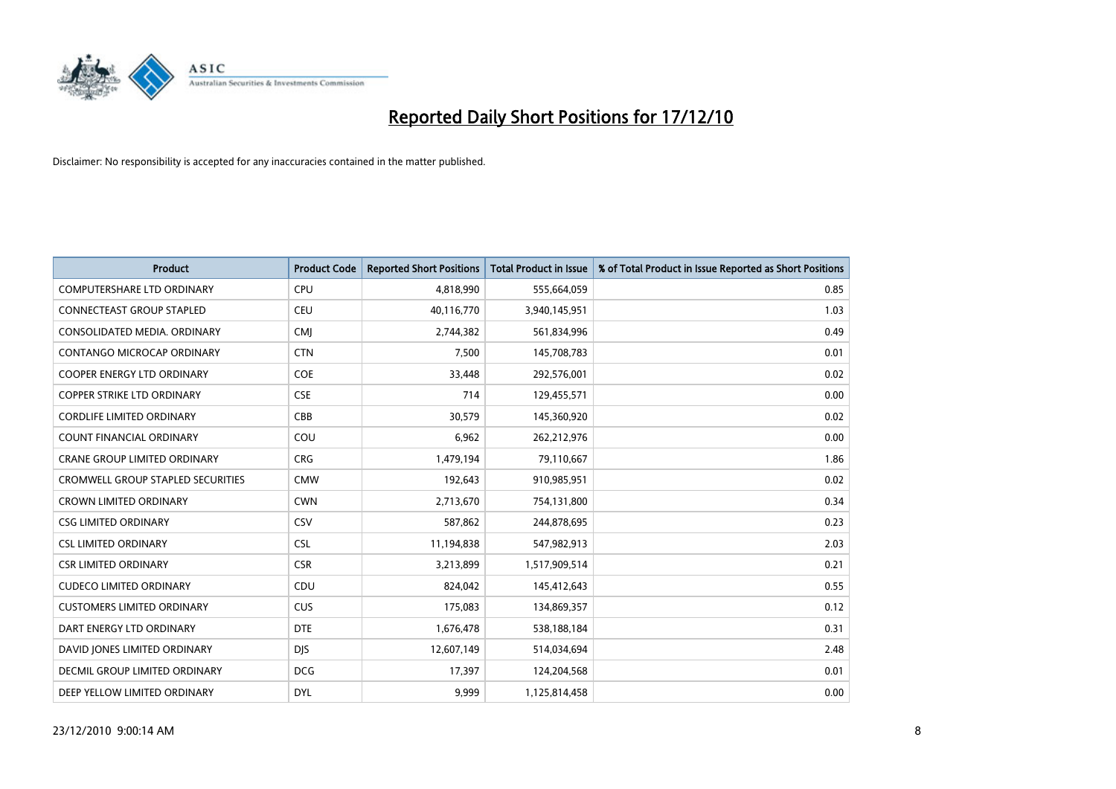

| <b>Product</b>                           | <b>Product Code</b> | <b>Reported Short Positions</b> | Total Product in Issue | % of Total Product in Issue Reported as Short Positions |
|------------------------------------------|---------------------|---------------------------------|------------------------|---------------------------------------------------------|
| <b>COMPUTERSHARE LTD ORDINARY</b>        | <b>CPU</b>          | 4,818,990                       | 555,664,059            | 0.85                                                    |
| <b>CONNECTEAST GROUP STAPLED</b>         | CEU                 | 40,116,770                      | 3,940,145,951          | 1.03                                                    |
| CONSOLIDATED MEDIA, ORDINARY             | <b>CMJ</b>          | 2,744,382                       | 561,834,996            | 0.49                                                    |
| CONTANGO MICROCAP ORDINARY               | <b>CTN</b>          | 7,500                           | 145,708,783            | 0.01                                                    |
| <b>COOPER ENERGY LTD ORDINARY</b>        | <b>COE</b>          | 33,448                          | 292,576,001            | 0.02                                                    |
| <b>COPPER STRIKE LTD ORDINARY</b>        | <b>CSE</b>          | 714                             | 129,455,571            | 0.00                                                    |
| <b>CORDLIFE LIMITED ORDINARY</b>         | CBB                 | 30,579                          | 145,360,920            | 0.02                                                    |
| <b>COUNT FINANCIAL ORDINARY</b>          | COU                 | 6,962                           | 262,212,976            | 0.00                                                    |
| CRANE GROUP LIMITED ORDINARY             | <b>CRG</b>          | 1,479,194                       | 79,110,667             | 1.86                                                    |
| <b>CROMWELL GROUP STAPLED SECURITIES</b> | <b>CMW</b>          | 192,643                         | 910,985,951            | 0.02                                                    |
| <b>CROWN LIMITED ORDINARY</b>            | <b>CWN</b>          | 2,713,670                       | 754,131,800            | 0.34                                                    |
| <b>CSG LIMITED ORDINARY</b>              | CSV                 | 587,862                         | 244,878,695            | 0.23                                                    |
| <b>CSL LIMITED ORDINARY</b>              | <b>CSL</b>          | 11,194,838                      | 547,982,913            | 2.03                                                    |
| <b>CSR LIMITED ORDINARY</b>              | <b>CSR</b>          | 3,213,899                       | 1,517,909,514          | 0.21                                                    |
| <b>CUDECO LIMITED ORDINARY</b>           | CDU                 | 824,042                         | 145,412,643            | 0.55                                                    |
| <b>CUSTOMERS LIMITED ORDINARY</b>        | <b>CUS</b>          | 175,083                         | 134,869,357            | 0.12                                                    |
| DART ENERGY LTD ORDINARY                 | <b>DTE</b>          | 1,676,478                       | 538,188,184            | 0.31                                                    |
| DAVID JONES LIMITED ORDINARY             | <b>DJS</b>          | 12,607,149                      | 514,034,694            | 2.48                                                    |
| DECMIL GROUP LIMITED ORDINARY            | <b>DCG</b>          | 17,397                          | 124,204,568            | 0.01                                                    |
| DEEP YELLOW LIMITED ORDINARY             | <b>DYL</b>          | 9.999                           | 1,125,814,458          | 0.00                                                    |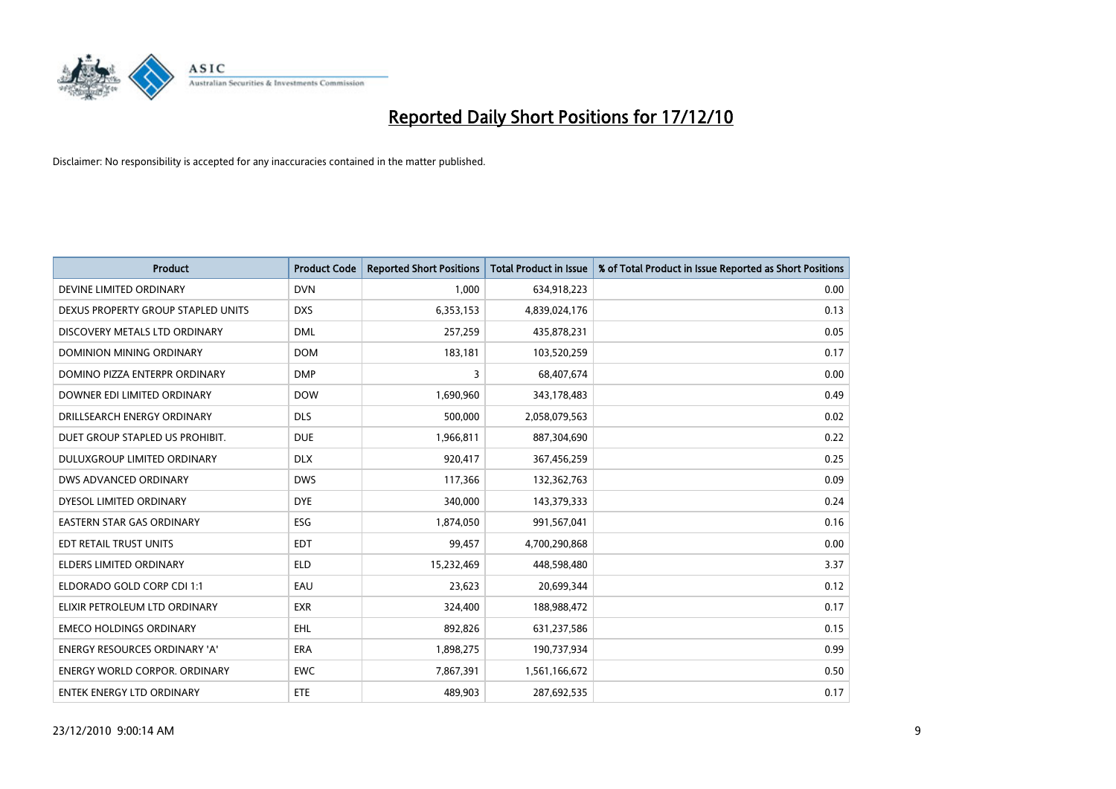

| <b>Product</b>                       | <b>Product Code</b> | <b>Reported Short Positions</b> | Total Product in Issue | % of Total Product in Issue Reported as Short Positions |
|--------------------------------------|---------------------|---------------------------------|------------------------|---------------------------------------------------------|
| DEVINE LIMITED ORDINARY              | <b>DVN</b>          | 1,000                           | 634,918,223            | 0.00                                                    |
| DEXUS PROPERTY GROUP STAPLED UNITS   | <b>DXS</b>          | 6,353,153                       | 4,839,024,176          | 0.13                                                    |
| DISCOVERY METALS LTD ORDINARY        | <b>DML</b>          | 257,259                         | 435,878,231            | 0.05                                                    |
| DOMINION MINING ORDINARY             | <b>DOM</b>          | 183,181                         | 103,520,259            | 0.17                                                    |
| DOMINO PIZZA ENTERPR ORDINARY        | <b>DMP</b>          | 3                               | 68,407,674             | 0.00                                                    |
| DOWNER EDI LIMITED ORDINARY          | <b>DOW</b>          | 1,690,960                       | 343,178,483            | 0.49                                                    |
| DRILLSEARCH ENERGY ORDINARY          | <b>DLS</b>          | 500.000                         | 2,058,079,563          | 0.02                                                    |
| DUET GROUP STAPLED US PROHIBIT.      | <b>DUE</b>          | 1,966,811                       | 887,304,690            | 0.22                                                    |
| DULUXGROUP LIMITED ORDINARY          | <b>DLX</b>          | 920,417                         | 367,456,259            | 0.25                                                    |
| DWS ADVANCED ORDINARY                | <b>DWS</b>          | 117,366                         | 132,362,763            | 0.09                                                    |
| DYESOL LIMITED ORDINARY              | <b>DYE</b>          | 340,000                         | 143,379,333            | 0.24                                                    |
| <b>EASTERN STAR GAS ORDINARY</b>     | ESG                 | 1,874,050                       | 991,567,041            | 0.16                                                    |
| EDT RETAIL TRUST UNITS               | <b>EDT</b>          | 99,457                          | 4,700,290,868          | 0.00                                                    |
| <b>ELDERS LIMITED ORDINARY</b>       | <b>ELD</b>          | 15,232,469                      | 448,598,480            | 3.37                                                    |
| ELDORADO GOLD CORP CDI 1:1           | EAU                 | 23,623                          | 20,699,344             | 0.12                                                    |
| ELIXIR PETROLEUM LTD ORDINARY        | <b>EXR</b>          | 324,400                         | 188,988,472            | 0.17                                                    |
| <b>EMECO HOLDINGS ORDINARY</b>       | <b>EHL</b>          | 892,826                         | 631,237,586            | 0.15                                                    |
| ENERGY RESOURCES ORDINARY 'A'        | <b>ERA</b>          | 1,898,275                       | 190,737,934            | 0.99                                                    |
| <b>ENERGY WORLD CORPOR, ORDINARY</b> | <b>EWC</b>          | 7,867,391                       | 1,561,166,672          | 0.50                                                    |
| <b>ENTEK ENERGY LTD ORDINARY</b>     | <b>ETE</b>          | 489.903                         | 287,692,535            | 0.17                                                    |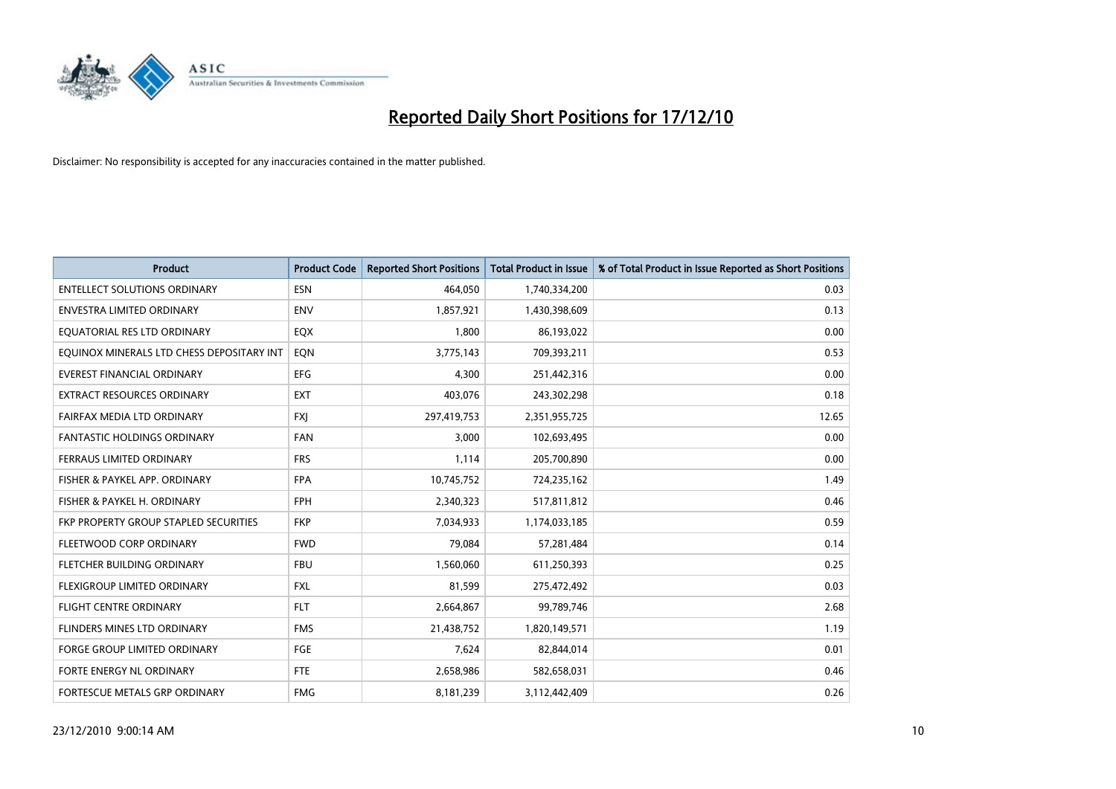

| <b>Product</b>                            | <b>Product Code</b> | <b>Reported Short Positions</b> | <b>Total Product in Issue</b> | % of Total Product in Issue Reported as Short Positions |
|-------------------------------------------|---------------------|---------------------------------|-------------------------------|---------------------------------------------------------|
| <b>ENTELLECT SOLUTIONS ORDINARY</b>       | <b>ESN</b>          | 464,050                         | 1,740,334,200                 | 0.03                                                    |
| <b>ENVESTRA LIMITED ORDINARY</b>          | <b>ENV</b>          | 1,857,921                       | 1,430,398,609                 | 0.13                                                    |
| EQUATORIAL RES LTD ORDINARY               | EQX                 | 1,800                           | 86,193,022                    | 0.00                                                    |
| EQUINOX MINERALS LTD CHESS DEPOSITARY INT | EON                 | 3,775,143                       | 709,393,211                   | 0.53                                                    |
| <b>EVEREST FINANCIAL ORDINARY</b>         | <b>EFG</b>          | 4.300                           | 251,442,316                   | 0.00                                                    |
| <b>EXTRACT RESOURCES ORDINARY</b>         | <b>EXT</b>          | 403,076                         | 243,302,298                   | 0.18                                                    |
| FAIRFAX MEDIA LTD ORDINARY                | <b>FXI</b>          | 297,419,753                     | 2,351,955,725                 | 12.65                                                   |
| <b>FANTASTIC HOLDINGS ORDINARY</b>        | <b>FAN</b>          | 3,000                           | 102,693,495                   | 0.00                                                    |
| FERRAUS LIMITED ORDINARY                  | <b>FRS</b>          | 1,114                           | 205,700,890                   | 0.00                                                    |
| FISHER & PAYKEL APP. ORDINARY             | <b>FPA</b>          | 10,745,752                      | 724,235,162                   | 1.49                                                    |
| FISHER & PAYKEL H. ORDINARY               | <b>FPH</b>          | 2,340,323                       | 517,811,812                   | 0.46                                                    |
| FKP PROPERTY GROUP STAPLED SECURITIES     | <b>FKP</b>          | 7,034,933                       | 1,174,033,185                 | 0.59                                                    |
| FLEETWOOD CORP ORDINARY                   | <b>FWD</b>          | 79.084                          | 57,281,484                    | 0.14                                                    |
| FLETCHER BUILDING ORDINARY                | <b>FBU</b>          | 1,560,060                       | 611,250,393                   | 0.25                                                    |
| FLEXIGROUP LIMITED ORDINARY               | <b>FXL</b>          | 81,599                          | 275,472,492                   | 0.03                                                    |
| <b>FLIGHT CENTRE ORDINARY</b>             | <b>FLT</b>          | 2,664,867                       | 99,789,746                    | 2.68                                                    |
| FLINDERS MINES LTD ORDINARY               | <b>FMS</b>          | 21,438,752                      | 1,820,149,571                 | 1.19                                                    |
| <b>FORGE GROUP LIMITED ORDINARY</b>       | <b>FGE</b>          | 7,624                           | 82,844,014                    | 0.01                                                    |
| FORTE ENERGY NL ORDINARY                  | <b>FTE</b>          | 2,658,986                       | 582,658,031                   | 0.46                                                    |
| FORTESCUE METALS GRP ORDINARY             | <b>FMG</b>          | 8,181,239                       | 3,112,442,409                 | 0.26                                                    |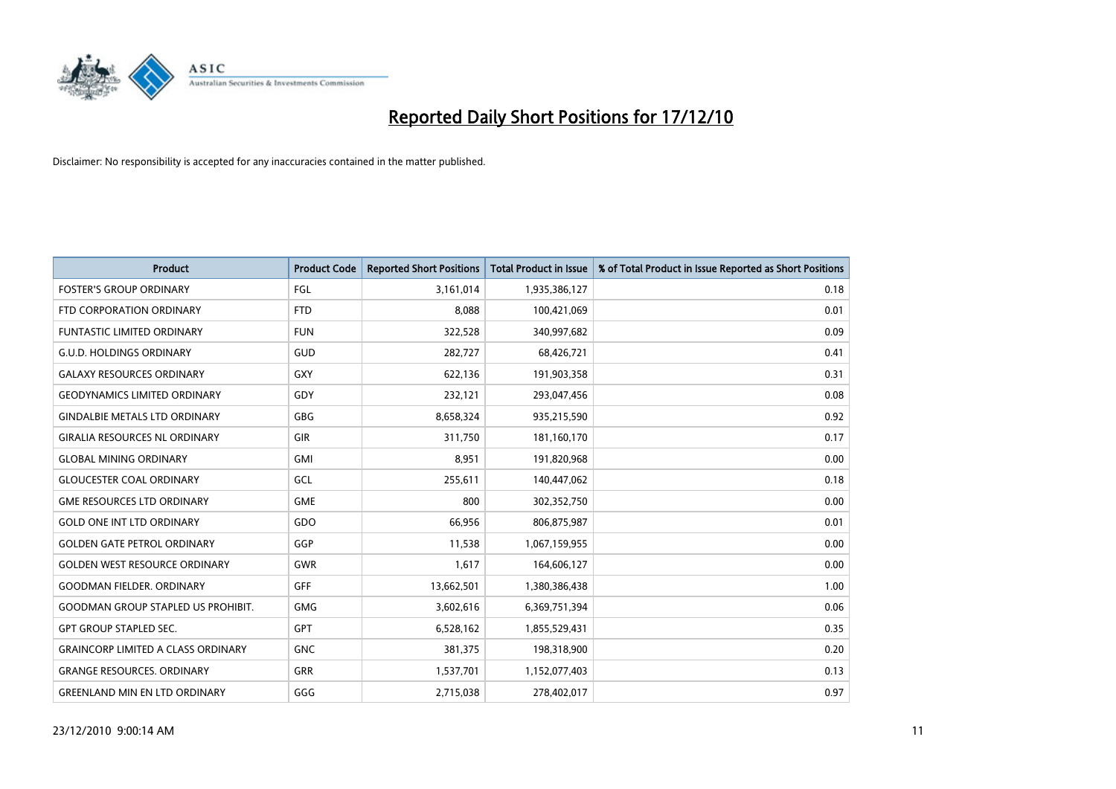

| <b>Product</b>                            | <b>Product Code</b> | <b>Reported Short Positions</b> | <b>Total Product in Issue</b> | % of Total Product in Issue Reported as Short Positions |
|-------------------------------------------|---------------------|---------------------------------|-------------------------------|---------------------------------------------------------|
| <b>FOSTER'S GROUP ORDINARY</b>            | FGL                 | 3,161,014                       | 1,935,386,127                 | 0.18                                                    |
| FTD CORPORATION ORDINARY                  | <b>FTD</b>          | 8.088                           | 100,421,069                   | 0.01                                                    |
| <b>FUNTASTIC LIMITED ORDINARY</b>         | <b>FUN</b>          | 322,528                         | 340,997,682                   | 0.09                                                    |
| <b>G.U.D. HOLDINGS ORDINARY</b>           | GUD                 | 282,727                         | 68,426,721                    | 0.41                                                    |
| <b>GALAXY RESOURCES ORDINARY</b>          | GXY                 | 622,136                         | 191,903,358                   | 0.31                                                    |
| <b>GEODYNAMICS LIMITED ORDINARY</b>       | GDY                 | 232,121                         | 293,047,456                   | 0.08                                                    |
| <b>GINDALBIE METALS LTD ORDINARY</b>      | <b>GBG</b>          | 8,658,324                       | 935,215,590                   | 0.92                                                    |
| <b>GIRALIA RESOURCES NL ORDINARY</b>      | <b>GIR</b>          | 311,750                         | 181,160,170                   | 0.17                                                    |
| <b>GLOBAL MINING ORDINARY</b>             | <b>GMI</b>          | 8,951                           | 191,820,968                   | 0.00                                                    |
| <b>GLOUCESTER COAL ORDINARY</b>           | GCL                 | 255,611                         | 140,447,062                   | 0.18                                                    |
| <b>GME RESOURCES LTD ORDINARY</b>         | <b>GME</b>          | 800                             | 302,352,750                   | 0.00                                                    |
| <b>GOLD ONE INT LTD ORDINARY</b>          | GDO                 | 66,956                          | 806,875,987                   | 0.01                                                    |
| <b>GOLDEN GATE PETROL ORDINARY</b>        | GGP                 | 11,538                          | 1,067,159,955                 | 0.00                                                    |
| <b>GOLDEN WEST RESOURCE ORDINARY</b>      | GWR                 | 1,617                           | 164,606,127                   | 0.00                                                    |
| <b>GOODMAN FIELDER. ORDINARY</b>          | <b>GFF</b>          | 13,662,501                      | 1,380,386,438                 | 1.00                                                    |
| <b>GOODMAN GROUP STAPLED US PROHIBIT.</b> | <b>GMG</b>          | 3,602,616                       | 6,369,751,394                 | 0.06                                                    |
| <b>GPT GROUP STAPLED SEC.</b>             | <b>GPT</b>          | 6,528,162                       | 1,855,529,431                 | 0.35                                                    |
| <b>GRAINCORP LIMITED A CLASS ORDINARY</b> | <b>GNC</b>          | 381,375                         | 198,318,900                   | 0.20                                                    |
| <b>GRANGE RESOURCES, ORDINARY</b>         | <b>GRR</b>          | 1,537,701                       | 1,152,077,403                 | 0.13                                                    |
| <b>GREENLAND MIN EN LTD ORDINARY</b>      | GGG                 | 2,715,038                       | 278,402,017                   | 0.97                                                    |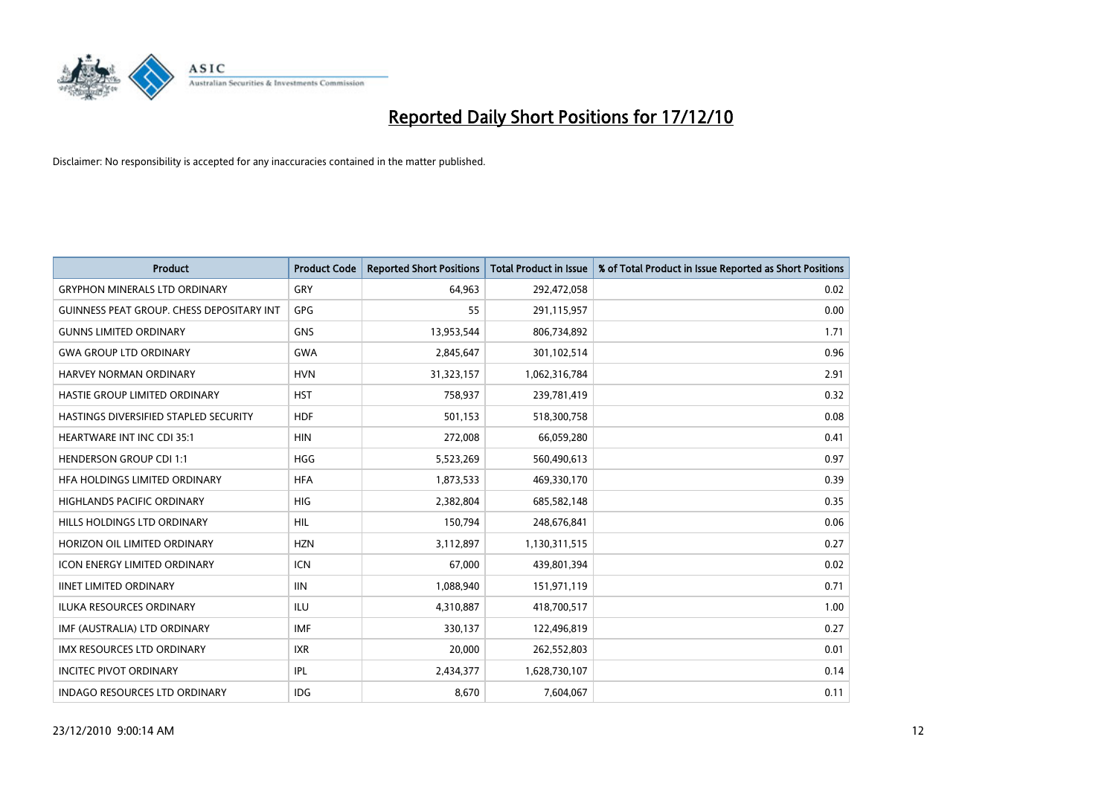

| <b>Product</b>                            | <b>Product Code</b> | <b>Reported Short Positions</b> | <b>Total Product in Issue</b> | % of Total Product in Issue Reported as Short Positions |
|-------------------------------------------|---------------------|---------------------------------|-------------------------------|---------------------------------------------------------|
| <b>GRYPHON MINERALS LTD ORDINARY</b>      | GRY                 | 64,963                          | 292,472,058                   | 0.02                                                    |
| GUINNESS PEAT GROUP. CHESS DEPOSITARY INT | GPG                 | 55                              | 291,115,957                   | 0.00                                                    |
| <b>GUNNS LIMITED ORDINARY</b>             | <b>GNS</b>          | 13,953,544                      | 806,734,892                   | 1.71                                                    |
| <b>GWA GROUP LTD ORDINARY</b>             | <b>GWA</b>          | 2,845,647                       | 301,102,514                   | 0.96                                                    |
| <b>HARVEY NORMAN ORDINARY</b>             | <b>HVN</b>          | 31,323,157                      | 1,062,316,784                 | 2.91                                                    |
| HASTIE GROUP LIMITED ORDINARY             | <b>HST</b>          | 758,937                         | 239,781,419                   | 0.32                                                    |
| HASTINGS DIVERSIFIED STAPLED SECURITY     | <b>HDF</b>          | 501,153                         | 518,300,758                   | 0.08                                                    |
| HEARTWARE INT INC CDI 35:1                | <b>HIN</b>          | 272,008                         | 66,059,280                    | 0.41                                                    |
| <b>HENDERSON GROUP CDI 1:1</b>            | <b>HGG</b>          | 5,523,269                       | 560,490,613                   | 0.97                                                    |
| HFA HOLDINGS LIMITED ORDINARY             | <b>HFA</b>          | 1,873,533                       | 469,330,170                   | 0.39                                                    |
| HIGHLANDS PACIFIC ORDINARY                | <b>HIG</b>          | 2,382,804                       | 685,582,148                   | 0.35                                                    |
| HILLS HOLDINGS LTD ORDINARY               | <b>HIL</b>          | 150,794                         | 248,676,841                   | 0.06                                                    |
| HORIZON OIL LIMITED ORDINARY              | <b>HZN</b>          | 3,112,897                       | 1,130,311,515                 | 0.27                                                    |
| <b>ICON ENERGY LIMITED ORDINARY</b>       | <b>ICN</b>          | 67,000                          | 439,801,394                   | 0.02                                                    |
| <b>IINET LIMITED ORDINARY</b>             | IIIN                | 1,088,940                       | 151,971,119                   | 0.71                                                    |
| <b>ILUKA RESOURCES ORDINARY</b>           | <b>ILU</b>          | 4,310,887                       | 418,700,517                   | 1.00                                                    |
| IMF (AUSTRALIA) LTD ORDINARY              | <b>IMF</b>          | 330,137                         | 122,496,819                   | 0.27                                                    |
| IMX RESOURCES LTD ORDINARY                | <b>IXR</b>          | 20,000                          | 262,552,803                   | 0.01                                                    |
| <b>INCITEC PIVOT ORDINARY</b>             | IPL                 | 2,434,377                       | 1,628,730,107                 | 0.14                                                    |
| <b>INDAGO RESOURCES LTD ORDINARY</b>      | <b>IDG</b>          | 8,670                           | 7,604,067                     | 0.11                                                    |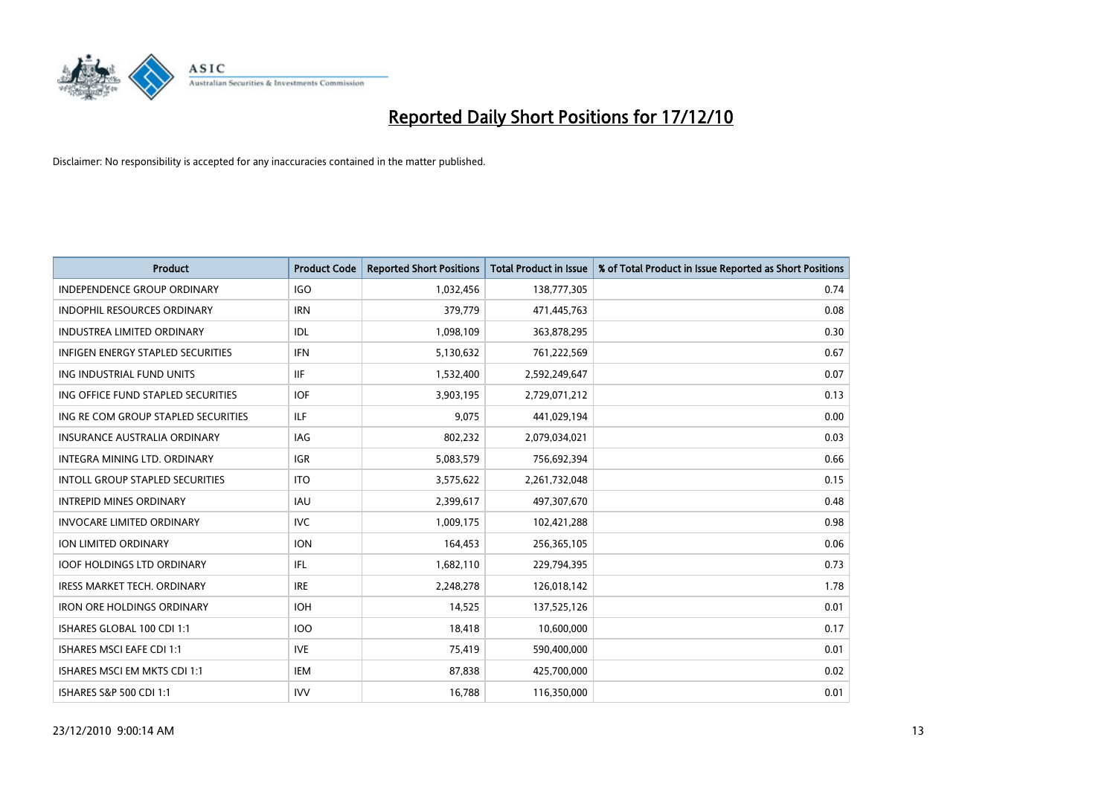

| <b>Product</b>                         | <b>Product Code</b> | <b>Reported Short Positions</b> | <b>Total Product in Issue</b> | % of Total Product in Issue Reported as Short Positions |
|----------------------------------------|---------------------|---------------------------------|-------------------------------|---------------------------------------------------------|
| <b>INDEPENDENCE GROUP ORDINARY</b>     | <b>IGO</b>          | 1,032,456                       | 138,777,305                   | 0.74                                                    |
| INDOPHIL RESOURCES ORDINARY            | <b>IRN</b>          | 379,779                         | 471,445,763                   | 0.08                                                    |
| <b>INDUSTREA LIMITED ORDINARY</b>      | IDL                 | 1,098,109                       | 363,878,295                   | 0.30                                                    |
| INFIGEN ENERGY STAPLED SECURITIES      | <b>IFN</b>          | 5,130,632                       | 761,222,569                   | 0.67                                                    |
| ING INDUSTRIAL FUND UNITS              | <b>IIF</b>          | 1,532,400                       | 2,592,249,647                 | 0.07                                                    |
| ING OFFICE FUND STAPLED SECURITIES     | <b>IOF</b>          | 3,903,195                       | 2,729,071,212                 | 0.13                                                    |
| ING RE COM GROUP STAPLED SECURITIES    | <b>ILF</b>          | 9,075                           | 441,029,194                   | 0.00                                                    |
| <b>INSURANCE AUSTRALIA ORDINARY</b>    | IAG                 | 802,232                         | 2,079,034,021                 | 0.03                                                    |
| INTEGRA MINING LTD, ORDINARY           | <b>IGR</b>          | 5,083,579                       | 756,692,394                   | 0.66                                                    |
| <b>INTOLL GROUP STAPLED SECURITIES</b> | <b>ITO</b>          | 3,575,622                       | 2,261,732,048                 | 0.15                                                    |
| <b>INTREPID MINES ORDINARY</b>         | <b>IAU</b>          | 2,399,617                       | 497,307,670                   | 0.48                                                    |
| <b>INVOCARE LIMITED ORDINARY</b>       | <b>IVC</b>          | 1,009,175                       | 102,421,288                   | 0.98                                                    |
| ION LIMITED ORDINARY                   | <b>ION</b>          | 164,453                         | 256,365,105                   | 0.06                                                    |
| <b>IOOF HOLDINGS LTD ORDINARY</b>      | <b>IFL</b>          | 1,682,110                       | 229,794,395                   | 0.73                                                    |
| <b>IRESS MARKET TECH. ORDINARY</b>     | <b>IRE</b>          | 2,248,278                       | 126,018,142                   | 1.78                                                    |
| <b>IRON ORE HOLDINGS ORDINARY</b>      | <b>IOH</b>          | 14,525                          | 137,525,126                   | 0.01                                                    |
| ISHARES GLOBAL 100 CDI 1:1             | 100                 | 18,418                          | 10,600,000                    | 0.17                                                    |
| <b>ISHARES MSCI EAFE CDI 1:1</b>       | <b>IVE</b>          | 75,419                          | 590,400,000                   | 0.01                                                    |
| ISHARES MSCI EM MKTS CDI 1:1           | <b>IEM</b>          | 87,838                          | 425,700,000                   | 0.02                                                    |
| ISHARES S&P 500 CDI 1:1                | <b>IVV</b>          | 16,788                          | 116,350,000                   | 0.01                                                    |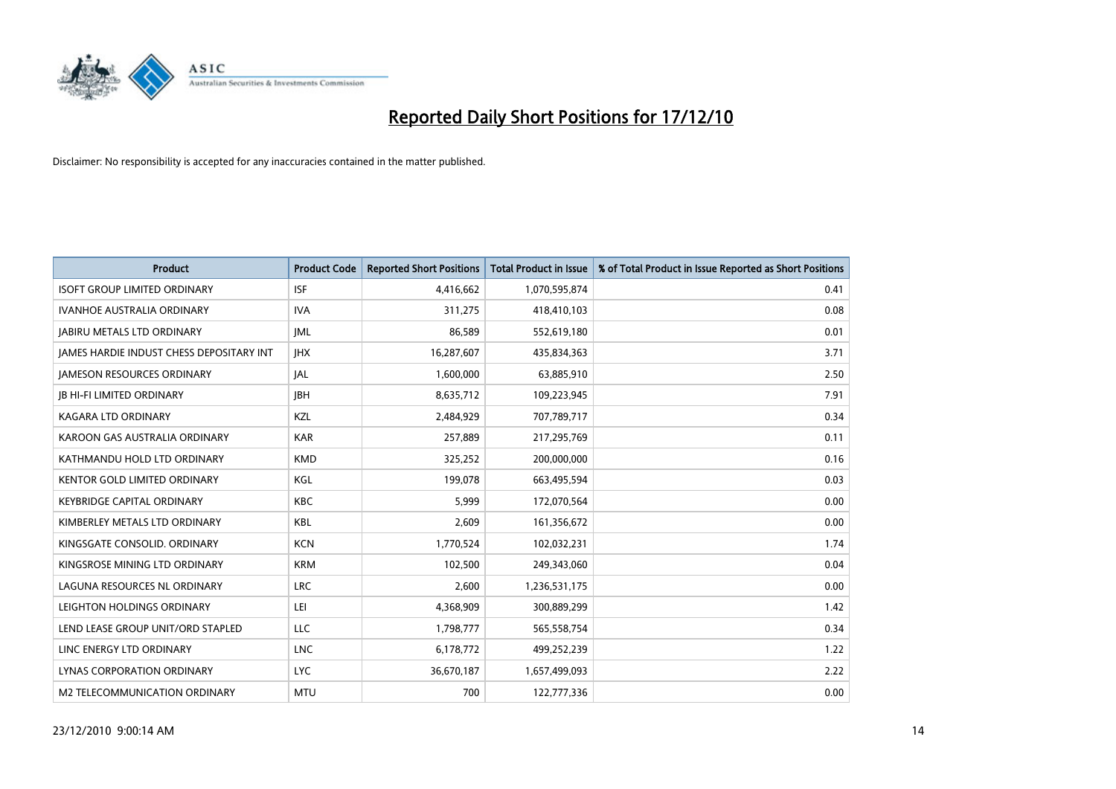

| <b>Product</b>                           | <b>Product Code</b> | <b>Reported Short Positions</b> | <b>Total Product in Issue</b> | % of Total Product in Issue Reported as Short Positions |
|------------------------------------------|---------------------|---------------------------------|-------------------------------|---------------------------------------------------------|
| <b>ISOFT GROUP LIMITED ORDINARY</b>      | <b>ISF</b>          | 4,416,662                       | 1,070,595,874                 | 0.41                                                    |
| <b>IVANHOE AUSTRALIA ORDINARY</b>        | <b>IVA</b>          | 311,275                         | 418,410,103                   | 0.08                                                    |
| <b>JABIRU METALS LTD ORDINARY</b>        | <b>IML</b>          | 86,589                          | 552,619,180                   | 0.01                                                    |
| JAMES HARDIE INDUST CHESS DEPOSITARY INT | <b>IHX</b>          | 16,287,607                      | 435,834,363                   | 3.71                                                    |
| <b>IAMESON RESOURCES ORDINARY</b>        | <b>JAL</b>          | 1,600,000                       | 63,885,910                    | 2.50                                                    |
| <b>JB HI-FI LIMITED ORDINARY</b>         | <b>IBH</b>          | 8,635,712                       | 109,223,945                   | 7.91                                                    |
| KAGARA LTD ORDINARY                      | KZL                 | 2,484,929                       | 707,789,717                   | 0.34                                                    |
| KAROON GAS AUSTRALIA ORDINARY            | <b>KAR</b>          | 257,889                         | 217,295,769                   | 0.11                                                    |
| KATHMANDU HOLD LTD ORDINARY              | <b>KMD</b>          | 325,252                         | 200,000,000                   | 0.16                                                    |
| KENTOR GOLD LIMITED ORDINARY             | KGL                 | 199,078                         | 663,495,594                   | 0.03                                                    |
| <b>KEYBRIDGE CAPITAL ORDINARY</b>        | <b>KBC</b>          | 5,999                           | 172,070,564                   | 0.00                                                    |
| KIMBERLEY METALS LTD ORDINARY            | <b>KBL</b>          | 2,609                           | 161,356,672                   | 0.00                                                    |
| KINGSGATE CONSOLID. ORDINARY             | <b>KCN</b>          | 1,770,524                       | 102,032,231                   | 1.74                                                    |
| KINGSROSE MINING LTD ORDINARY            | <b>KRM</b>          | 102,500                         | 249,343,060                   | 0.04                                                    |
| LAGUNA RESOURCES NL ORDINARY             | <b>LRC</b>          | 2,600                           | 1,236,531,175                 | 0.00                                                    |
| LEIGHTON HOLDINGS ORDINARY               | LEI                 | 4,368,909                       | 300,889,299                   | 1.42                                                    |
| LEND LEASE GROUP UNIT/ORD STAPLED        | LLC                 | 1,798,777                       | 565,558,754                   | 0.34                                                    |
| LINC ENERGY LTD ORDINARY                 | <b>LNC</b>          | 6,178,772                       | 499,252,239                   | 1.22                                                    |
| LYNAS CORPORATION ORDINARY               | <b>LYC</b>          | 36,670,187                      | 1,657,499,093                 | 2.22                                                    |
| M2 TELECOMMUNICATION ORDINARY            | <b>MTU</b>          | 700                             | 122,777,336                   | 0.00                                                    |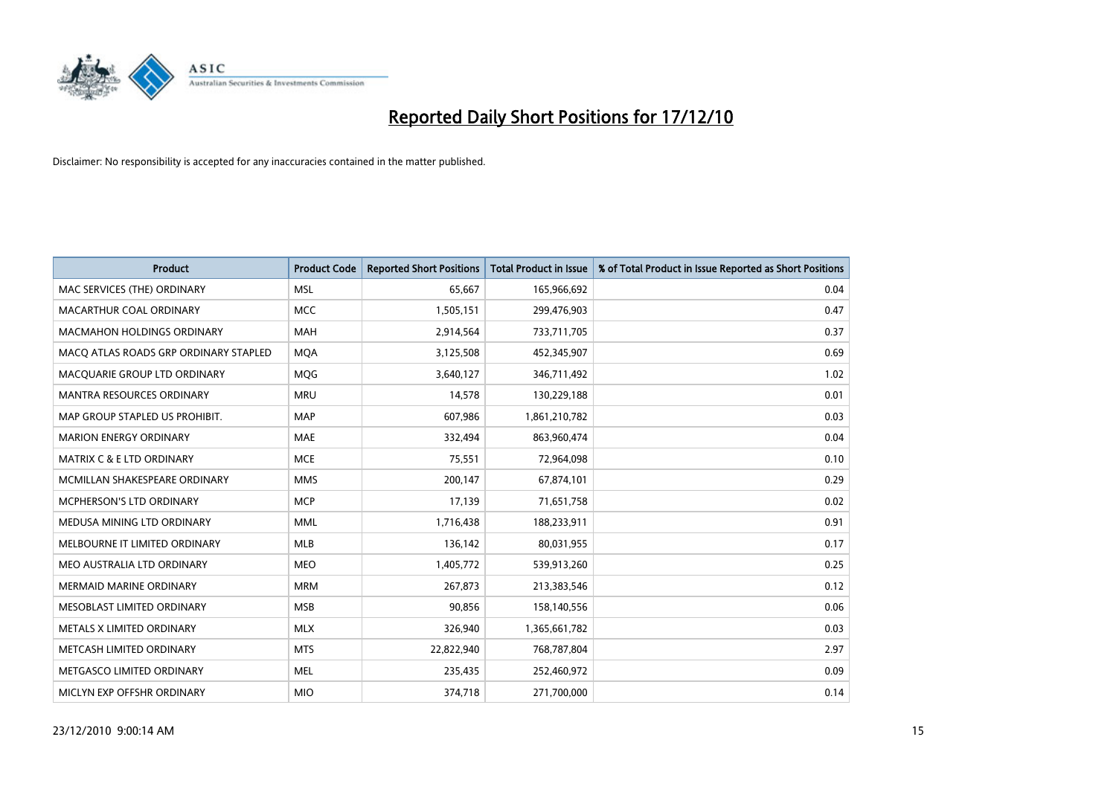

| <b>Product</b>                        | <b>Product Code</b> | <b>Reported Short Positions</b> | Total Product in Issue | % of Total Product in Issue Reported as Short Positions |
|---------------------------------------|---------------------|---------------------------------|------------------------|---------------------------------------------------------|
| MAC SERVICES (THE) ORDINARY           | <b>MSL</b>          | 65,667                          | 165,966,692            | 0.04                                                    |
| MACARTHUR COAL ORDINARY               | <b>MCC</b>          | 1,505,151                       | 299,476,903            | 0.47                                                    |
| <b>MACMAHON HOLDINGS ORDINARY</b>     | <b>MAH</b>          | 2,914,564                       | 733,711,705            | 0.37                                                    |
| MACQ ATLAS ROADS GRP ORDINARY STAPLED | <b>MQA</b>          | 3,125,508                       | 452,345,907            | 0.69                                                    |
| MACQUARIE GROUP LTD ORDINARY          | <b>MOG</b>          | 3,640,127                       | 346,711,492            | 1.02                                                    |
| <b>MANTRA RESOURCES ORDINARY</b>      | <b>MRU</b>          | 14,578                          | 130,229,188            | 0.01                                                    |
| MAP GROUP STAPLED US PROHIBIT.        | <b>MAP</b>          | 607,986                         | 1,861,210,782          | 0.03                                                    |
| <b>MARION ENERGY ORDINARY</b>         | <b>MAE</b>          | 332,494                         | 863,960,474            | 0.04                                                    |
| <b>MATRIX C &amp; E LTD ORDINARY</b>  | <b>MCE</b>          | 75,551                          | 72,964,098             | 0.10                                                    |
| MCMILLAN SHAKESPEARE ORDINARY         | <b>MMS</b>          | 200,147                         | 67,874,101             | 0.29                                                    |
| MCPHERSON'S LTD ORDINARY              | <b>MCP</b>          | 17,139                          | 71,651,758             | 0.02                                                    |
| MEDUSA MINING LTD ORDINARY            | <b>MML</b>          | 1,716,438                       | 188,233,911            | 0.91                                                    |
| MELBOURNE IT LIMITED ORDINARY         | <b>MLB</b>          | 136,142                         | 80,031,955             | 0.17                                                    |
| MEO AUSTRALIA LTD ORDINARY            | <b>MEO</b>          | 1,405,772                       | 539,913,260            | 0.25                                                    |
| <b>MERMAID MARINE ORDINARY</b>        | <b>MRM</b>          | 267,873                         | 213,383,546            | 0.12                                                    |
| MESOBLAST LIMITED ORDINARY            | <b>MSB</b>          | 90,856                          | 158,140,556            | 0.06                                                    |
| METALS X LIMITED ORDINARY             | <b>MLX</b>          | 326,940                         | 1,365,661,782          | 0.03                                                    |
| METCASH LIMITED ORDINARY              | <b>MTS</b>          | 22,822,940                      | 768,787,804            | 2.97                                                    |
| METGASCO LIMITED ORDINARY             | <b>MEL</b>          | 235,435                         | 252,460,972            | 0.09                                                    |
| MICLYN EXP OFFSHR ORDINARY            | <b>MIO</b>          | 374,718                         | 271,700,000            | 0.14                                                    |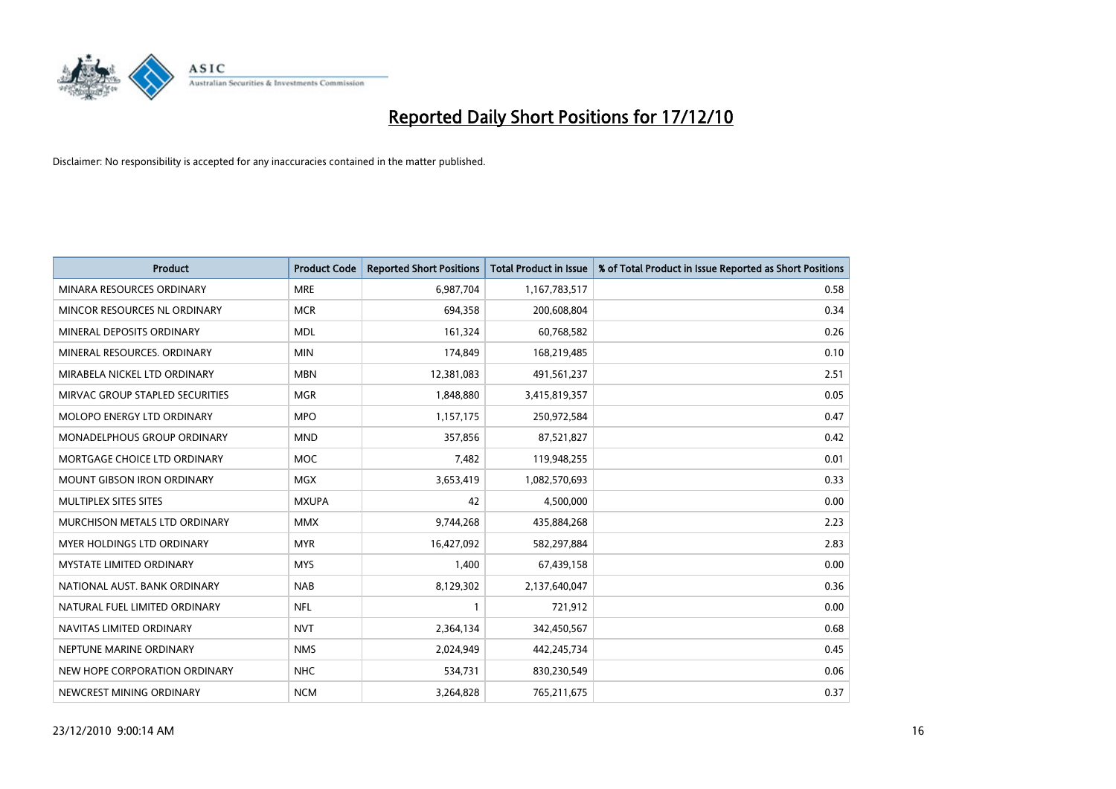

| <b>Product</b>                    | <b>Product Code</b> | <b>Reported Short Positions</b> | <b>Total Product in Issue</b> | % of Total Product in Issue Reported as Short Positions |
|-----------------------------------|---------------------|---------------------------------|-------------------------------|---------------------------------------------------------|
| MINARA RESOURCES ORDINARY         | <b>MRE</b>          | 6,987,704                       | 1,167,783,517                 | 0.58                                                    |
| MINCOR RESOURCES NL ORDINARY      | <b>MCR</b>          | 694,358                         | 200,608,804                   | 0.34                                                    |
| MINERAL DEPOSITS ORDINARY         | <b>MDL</b>          | 161,324                         | 60,768,582                    | 0.26                                                    |
| MINERAL RESOURCES. ORDINARY       | <b>MIN</b>          | 174,849                         | 168,219,485                   | 0.10                                                    |
| MIRABELA NICKEL LTD ORDINARY      | <b>MBN</b>          | 12,381,083                      | 491,561,237                   | 2.51                                                    |
| MIRVAC GROUP STAPLED SECURITIES   | <b>MGR</b>          | 1,848,880                       | 3,415,819,357                 | 0.05                                                    |
| <b>MOLOPO ENERGY LTD ORDINARY</b> | <b>MPO</b>          | 1,157,175                       | 250,972,584                   | 0.47                                                    |
| MONADELPHOUS GROUP ORDINARY       | <b>MND</b>          | 357,856                         | 87,521,827                    | 0.42                                                    |
| MORTGAGE CHOICE LTD ORDINARY      | <b>MOC</b>          | 7,482                           | 119,948,255                   | 0.01                                                    |
| <b>MOUNT GIBSON IRON ORDINARY</b> | <b>MGX</b>          | 3,653,419                       | 1,082,570,693                 | 0.33                                                    |
| MULTIPLEX SITES SITES             | <b>MXUPA</b>        | 42                              | 4,500,000                     | 0.00                                                    |
| MURCHISON METALS LTD ORDINARY     | <b>MMX</b>          | 9,744,268                       | 435,884,268                   | 2.23                                                    |
| <b>MYER HOLDINGS LTD ORDINARY</b> | <b>MYR</b>          | 16,427,092                      | 582,297,884                   | 2.83                                                    |
| <b>MYSTATE LIMITED ORDINARY</b>   | <b>MYS</b>          | 1,400                           | 67,439,158                    | 0.00                                                    |
| NATIONAL AUST. BANK ORDINARY      | <b>NAB</b>          | 8,129,302                       | 2,137,640,047                 | 0.36                                                    |
| NATURAL FUEL LIMITED ORDINARY     | <b>NFL</b>          |                                 | 721,912                       | 0.00                                                    |
| NAVITAS LIMITED ORDINARY          | <b>NVT</b>          | 2,364,134                       | 342,450,567                   | 0.68                                                    |
| NEPTUNE MARINE ORDINARY           | <b>NMS</b>          | 2,024,949                       | 442,245,734                   | 0.45                                                    |
| NEW HOPE CORPORATION ORDINARY     | <b>NHC</b>          | 534,731                         | 830,230,549                   | 0.06                                                    |
| NEWCREST MINING ORDINARY          | <b>NCM</b>          | 3,264,828                       | 765,211,675                   | 0.37                                                    |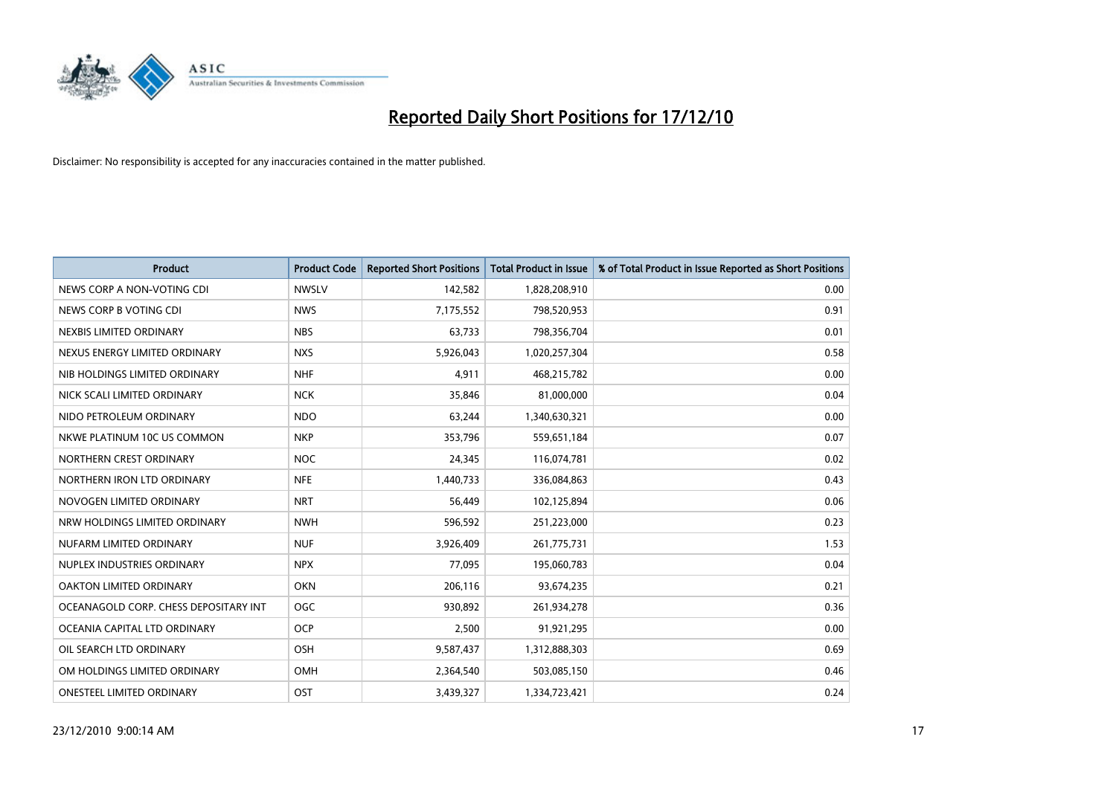

| <b>Product</b>                        | <b>Product Code</b> | <b>Reported Short Positions</b> | <b>Total Product in Issue</b> | % of Total Product in Issue Reported as Short Positions |
|---------------------------------------|---------------------|---------------------------------|-------------------------------|---------------------------------------------------------|
| NEWS CORP A NON-VOTING CDI            | <b>NWSLV</b>        | 142,582                         | 1,828,208,910                 | 0.00                                                    |
| NEWS CORP B VOTING CDI                | <b>NWS</b>          | 7,175,552                       | 798,520,953                   | 0.91                                                    |
| NEXBIS LIMITED ORDINARY               | <b>NBS</b>          | 63,733                          | 798,356,704                   | 0.01                                                    |
| NEXUS ENERGY LIMITED ORDINARY         | <b>NXS</b>          | 5,926,043                       | 1,020,257,304                 | 0.58                                                    |
| NIB HOLDINGS LIMITED ORDINARY         | <b>NHF</b>          | 4,911                           | 468,215,782                   | 0.00                                                    |
| NICK SCALI LIMITED ORDINARY           | <b>NCK</b>          | 35,846                          | 81,000,000                    | 0.04                                                    |
| NIDO PETROLEUM ORDINARY               | <b>NDO</b>          | 63,244                          | 1,340,630,321                 | 0.00                                                    |
| NKWE PLATINUM 10C US COMMON           | <b>NKP</b>          | 353,796                         | 559,651,184                   | 0.07                                                    |
| NORTHERN CREST ORDINARY               | <b>NOC</b>          | 24,345                          | 116,074,781                   | 0.02                                                    |
| NORTHERN IRON LTD ORDINARY            | <b>NFE</b>          | 1,440,733                       | 336,084,863                   | 0.43                                                    |
| NOVOGEN LIMITED ORDINARY              | <b>NRT</b>          | 56,449                          | 102,125,894                   | 0.06                                                    |
| NRW HOLDINGS LIMITED ORDINARY         | <b>NWH</b>          | 596,592                         | 251,223,000                   | 0.23                                                    |
| NUFARM LIMITED ORDINARY               | <b>NUF</b>          | 3,926,409                       | 261,775,731                   | 1.53                                                    |
| NUPLEX INDUSTRIES ORDINARY            | <b>NPX</b>          | 77.095                          | 195,060,783                   | 0.04                                                    |
| <b>OAKTON LIMITED ORDINARY</b>        | <b>OKN</b>          | 206,116                         | 93,674,235                    | 0.21                                                    |
| OCEANAGOLD CORP. CHESS DEPOSITARY INT | <b>OGC</b>          | 930,892                         | 261,934,278                   | 0.36                                                    |
| OCEANIA CAPITAL LTD ORDINARY          | <b>OCP</b>          | 2,500                           | 91,921,295                    | 0.00                                                    |
| OIL SEARCH LTD ORDINARY               | <b>OSH</b>          | 9,587,437                       | 1,312,888,303                 | 0.69                                                    |
| OM HOLDINGS LIMITED ORDINARY          | <b>OMH</b>          | 2,364,540                       | 503,085,150                   | 0.46                                                    |
| ONESTEEL LIMITED ORDINARY             | OST                 | 3.439.327                       | 1,334,723,421                 | 0.24                                                    |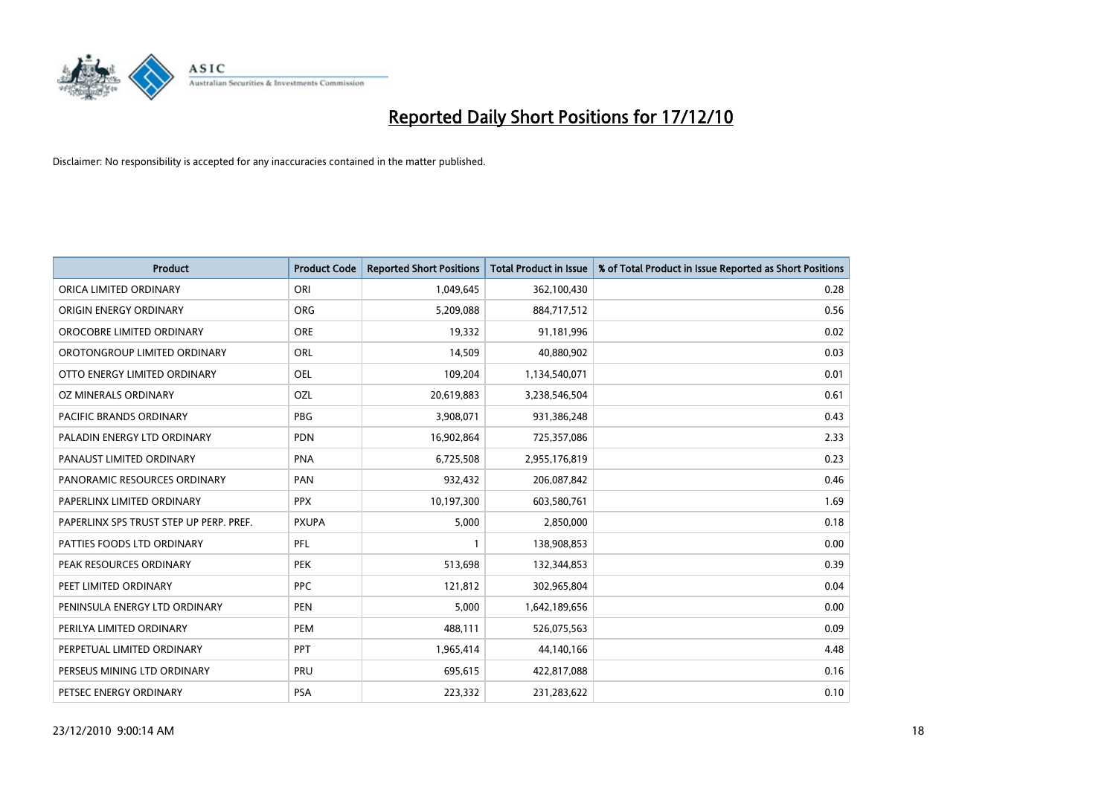

| <b>Product</b>                          | <b>Product Code</b> | <b>Reported Short Positions</b> | <b>Total Product in Issue</b> | % of Total Product in Issue Reported as Short Positions |
|-----------------------------------------|---------------------|---------------------------------|-------------------------------|---------------------------------------------------------|
| ORICA LIMITED ORDINARY                  | ORI                 | 1,049,645                       | 362,100,430                   | 0.28                                                    |
| ORIGIN ENERGY ORDINARY                  | <b>ORG</b>          | 5,209,088                       | 884,717,512                   | 0.56                                                    |
| OROCOBRE LIMITED ORDINARY               | <b>ORE</b>          | 19,332                          | 91,181,996                    | 0.02                                                    |
| OROTONGROUP LIMITED ORDINARY            | ORL                 | 14,509                          | 40,880,902                    | 0.03                                                    |
| OTTO ENERGY LIMITED ORDINARY            | OEL                 | 109,204                         | 1,134,540,071                 | 0.01                                                    |
| OZ MINERALS ORDINARY                    | OZL                 | 20,619,883                      | 3,238,546,504                 | 0.61                                                    |
| <b>PACIFIC BRANDS ORDINARY</b>          | <b>PBG</b>          | 3,908,071                       | 931,386,248                   | 0.43                                                    |
| PALADIN ENERGY LTD ORDINARY             | <b>PDN</b>          | 16,902,864                      | 725,357,086                   | 2.33                                                    |
| PANAUST LIMITED ORDINARY                | <b>PNA</b>          | 6,725,508                       | 2,955,176,819                 | 0.23                                                    |
| PANORAMIC RESOURCES ORDINARY            | PAN                 | 932,432                         | 206,087,842                   | 0.46                                                    |
| PAPERLINX LIMITED ORDINARY              | <b>PPX</b>          | 10,197,300                      | 603,580,761                   | 1.69                                                    |
| PAPERLINX SPS TRUST STEP UP PERP. PREF. | <b>PXUPA</b>        | 5,000                           | 2,850,000                     | 0.18                                                    |
| PATTIES FOODS LTD ORDINARY              | PFL                 |                                 | 138,908,853                   | 0.00                                                    |
| PEAK RESOURCES ORDINARY                 | <b>PEK</b>          | 513,698                         | 132,344,853                   | 0.39                                                    |
| PEET LIMITED ORDINARY                   | <b>PPC</b>          | 121,812                         | 302,965,804                   | 0.04                                                    |
| PENINSULA ENERGY LTD ORDINARY           | <b>PEN</b>          | 5,000                           | 1,642,189,656                 | 0.00                                                    |
| PERILYA LIMITED ORDINARY                | PEM                 | 488,111                         | 526,075,563                   | 0.09                                                    |
| PERPETUAL LIMITED ORDINARY              | <b>PPT</b>          | 1,965,414                       | 44,140,166                    | 4.48                                                    |
| PERSEUS MINING LTD ORDINARY             | PRU                 | 695,615                         | 422,817,088                   | 0.16                                                    |
| PETSEC ENERGY ORDINARY                  | <b>PSA</b>          | 223,332                         | 231,283,622                   | 0.10                                                    |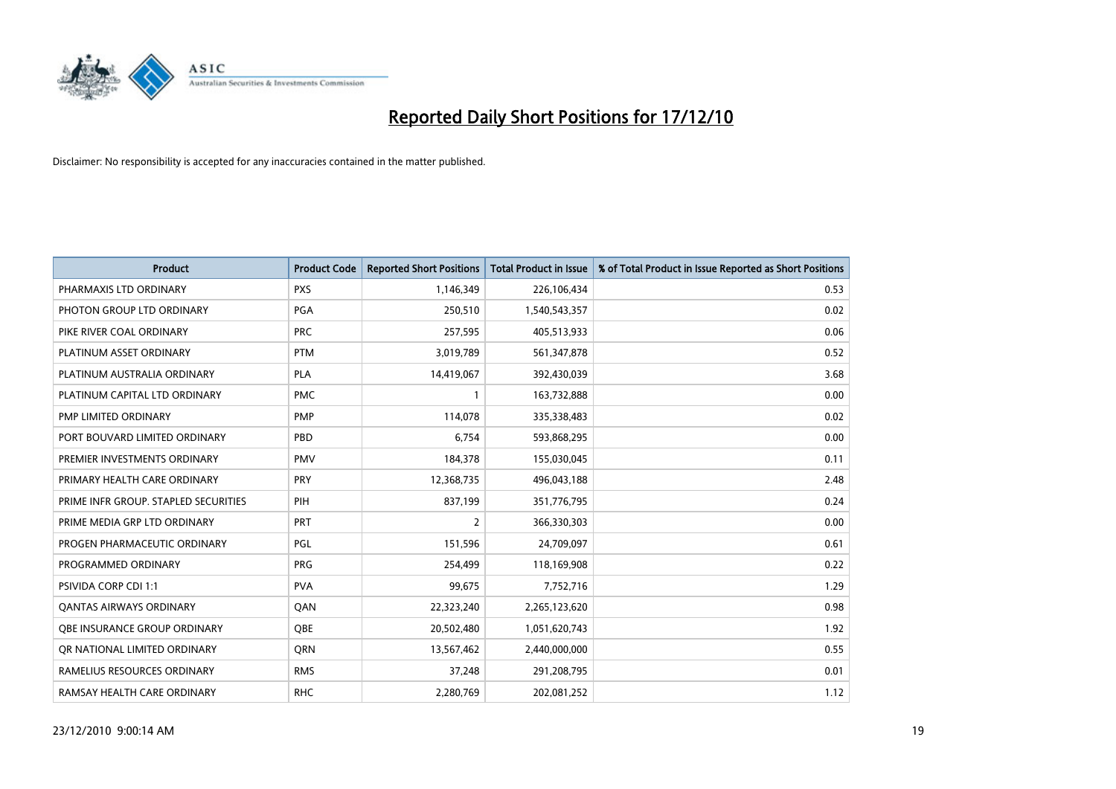

| <b>Product</b>                       | <b>Product Code</b> | <b>Reported Short Positions</b> | <b>Total Product in Issue</b> | % of Total Product in Issue Reported as Short Positions |
|--------------------------------------|---------------------|---------------------------------|-------------------------------|---------------------------------------------------------|
| PHARMAXIS LTD ORDINARY               | <b>PXS</b>          | 1,146,349                       | 226,106,434                   | 0.53                                                    |
| PHOTON GROUP LTD ORDINARY            | PGA                 | 250,510                         | 1,540,543,357                 | 0.02                                                    |
| PIKE RIVER COAL ORDINARY             | <b>PRC</b>          | 257,595                         | 405,513,933                   | 0.06                                                    |
| PLATINUM ASSET ORDINARY              | <b>PTM</b>          | 3,019,789                       | 561,347,878                   | 0.52                                                    |
| PLATINUM AUSTRALIA ORDINARY          | <b>PLA</b>          | 14,419,067                      | 392,430,039                   | 3.68                                                    |
| PLATINUM CAPITAL LTD ORDINARY        | <b>PMC</b>          |                                 | 163,732,888                   | 0.00                                                    |
| PMP LIMITED ORDINARY                 | <b>PMP</b>          | 114,078                         | 335,338,483                   | 0.02                                                    |
| PORT BOUVARD LIMITED ORDINARY        | PBD                 | 6,754                           | 593,868,295                   | 0.00                                                    |
| PREMIER INVESTMENTS ORDINARY         | <b>PMV</b>          | 184,378                         | 155,030,045                   | 0.11                                                    |
| PRIMARY HEALTH CARE ORDINARY         | PRY                 | 12,368,735                      | 496,043,188                   | 2.48                                                    |
| PRIME INFR GROUP. STAPLED SECURITIES | PIH                 | 837,199                         | 351,776,795                   | 0.24                                                    |
| PRIME MEDIA GRP LTD ORDINARY         | PRT                 | $\overline{2}$                  | 366,330,303                   | 0.00                                                    |
| PROGEN PHARMACEUTIC ORDINARY         | PGL                 | 151,596                         | 24,709,097                    | 0.61                                                    |
| PROGRAMMED ORDINARY                  | <b>PRG</b>          | 254,499                         | 118,169,908                   | 0.22                                                    |
| PSIVIDA CORP CDI 1:1                 | <b>PVA</b>          | 99,675                          | 7,752,716                     | 1.29                                                    |
| <b>QANTAS AIRWAYS ORDINARY</b>       | <b>OAN</b>          | 22,323,240                      | 2,265,123,620                 | 0.98                                                    |
| OBE INSURANCE GROUP ORDINARY         | OBE                 | 20,502,480                      | 1,051,620,743                 | 1.92                                                    |
| OR NATIONAL LIMITED ORDINARY         | <b>ORN</b>          | 13,567,462                      | 2,440,000,000                 | 0.55                                                    |
| RAMELIUS RESOURCES ORDINARY          | <b>RMS</b>          | 37,248                          | 291,208,795                   | 0.01                                                    |
| RAMSAY HEALTH CARE ORDINARY          | <b>RHC</b>          | 2,280,769                       | 202,081,252                   | 1.12                                                    |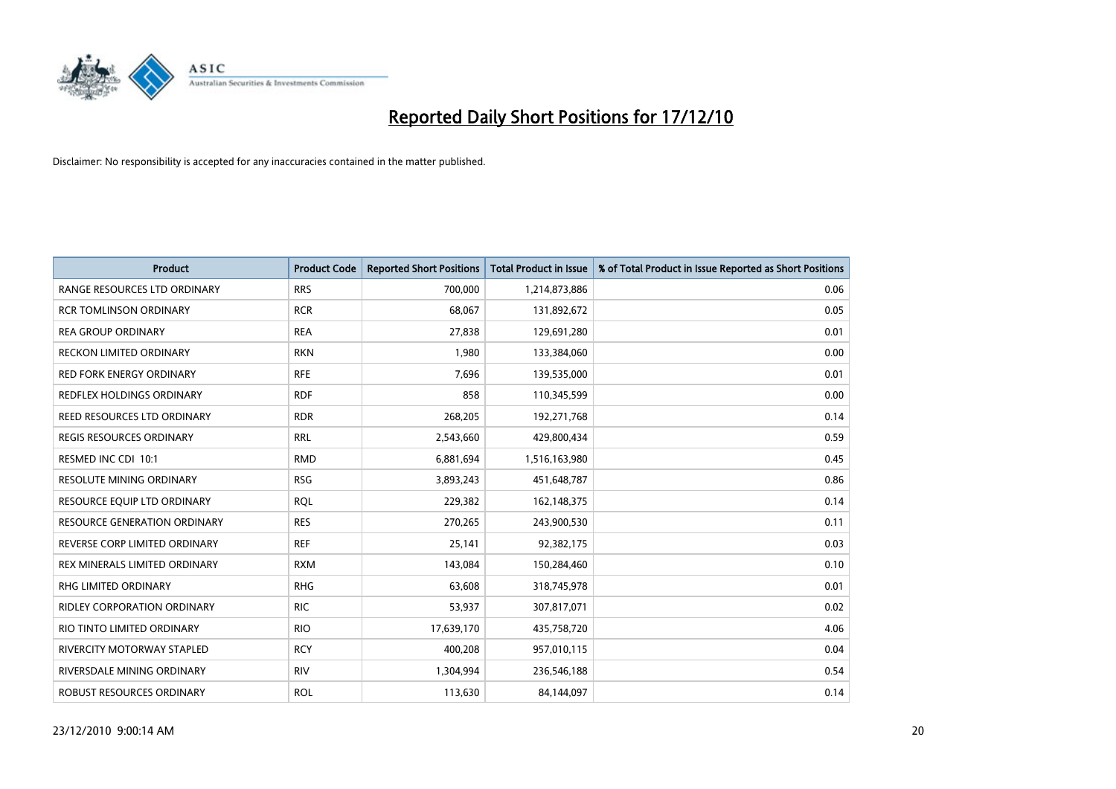

| <b>Product</b>                     | <b>Product Code</b> | <b>Reported Short Positions</b> | <b>Total Product in Issue</b> | % of Total Product in Issue Reported as Short Positions |
|------------------------------------|---------------------|---------------------------------|-------------------------------|---------------------------------------------------------|
| RANGE RESOURCES LTD ORDINARY       | <b>RRS</b>          | 700,000                         | 1,214,873,886                 | 0.06                                                    |
| <b>RCR TOMLINSON ORDINARY</b>      | <b>RCR</b>          | 68,067                          | 131,892,672                   | 0.05                                                    |
| <b>REA GROUP ORDINARY</b>          | <b>REA</b>          | 27,838                          | 129,691,280                   | 0.01                                                    |
| <b>RECKON LIMITED ORDINARY</b>     | <b>RKN</b>          | 1,980                           | 133,384,060                   | 0.00                                                    |
| <b>RED FORK ENERGY ORDINARY</b>    | <b>RFE</b>          | 7,696                           | 139,535,000                   | 0.01                                                    |
| REDFLEX HOLDINGS ORDINARY          | <b>RDF</b>          | 858                             | 110,345,599                   | 0.00                                                    |
| REED RESOURCES LTD ORDINARY        | <b>RDR</b>          | 268,205                         | 192,271,768                   | 0.14                                                    |
| <b>REGIS RESOURCES ORDINARY</b>    | <b>RRL</b>          | 2,543,660                       | 429,800,434                   | 0.59                                                    |
| RESMED INC CDI 10:1                | <b>RMD</b>          | 6,881,694                       | 1,516,163,980                 | 0.45                                                    |
| <b>RESOLUTE MINING ORDINARY</b>    | <b>RSG</b>          | 3,893,243                       | 451,648,787                   | 0.86                                                    |
| RESOURCE EQUIP LTD ORDINARY        | <b>RQL</b>          | 229,382                         | 162,148,375                   | 0.14                                                    |
| RESOURCE GENERATION ORDINARY       | <b>RES</b>          | 270,265                         | 243,900,530                   | 0.11                                                    |
| REVERSE CORP LIMITED ORDINARY      | <b>REF</b>          | 25,141                          | 92,382,175                    | 0.03                                                    |
| REX MINERALS LIMITED ORDINARY      | <b>RXM</b>          | 143,084                         | 150,284,460                   | 0.10                                                    |
| <b>RHG LIMITED ORDINARY</b>        | <b>RHG</b>          | 63.608                          | 318,745,978                   | 0.01                                                    |
| <b>RIDLEY CORPORATION ORDINARY</b> | <b>RIC</b>          | 53,937                          | 307,817,071                   | 0.02                                                    |
| RIO TINTO LIMITED ORDINARY         | <b>RIO</b>          | 17,639,170                      | 435,758,720                   | 4.06                                                    |
| RIVERCITY MOTORWAY STAPLED         | <b>RCY</b>          | 400,208                         | 957,010,115                   | 0.04                                                    |
| RIVERSDALE MINING ORDINARY         | <b>RIV</b>          | 1,304,994                       | 236,546,188                   | 0.54                                                    |
| ROBUST RESOURCES ORDINARY          | <b>ROL</b>          | 113,630                         | 84,144,097                    | 0.14                                                    |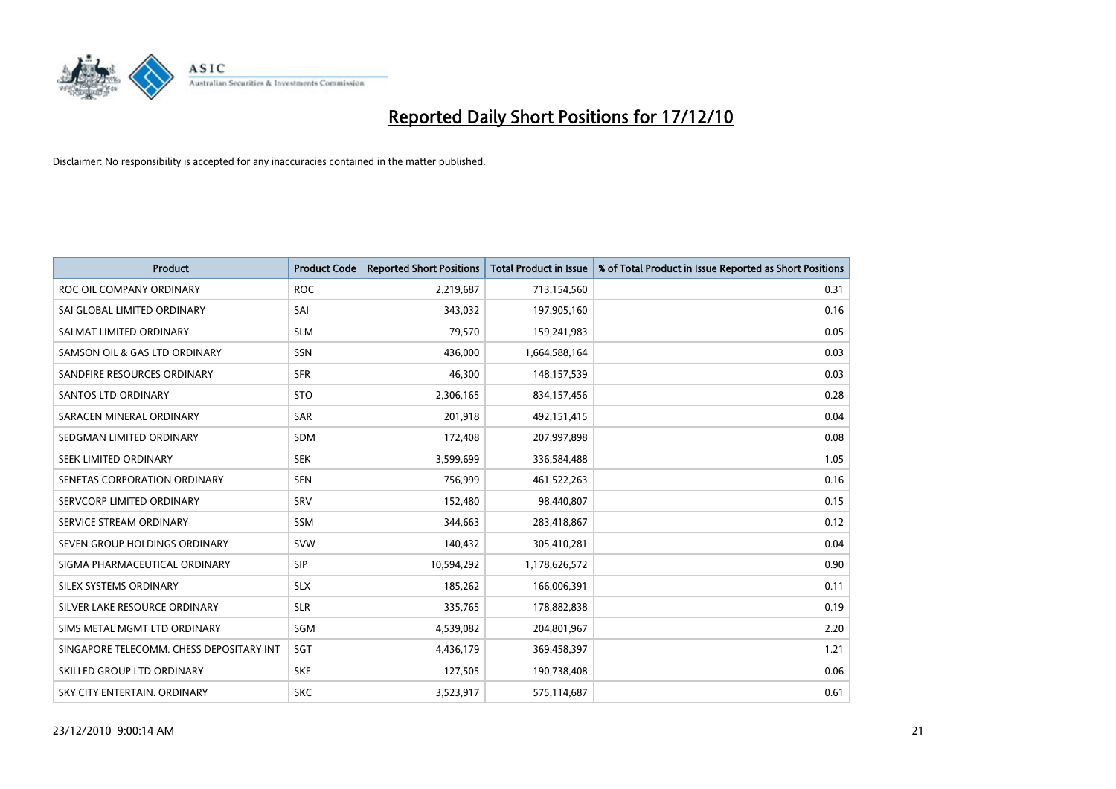

| <b>Product</b>                           | <b>Product Code</b> | <b>Reported Short Positions</b> | <b>Total Product in Issue</b> | % of Total Product in Issue Reported as Short Positions |
|------------------------------------------|---------------------|---------------------------------|-------------------------------|---------------------------------------------------------|
| ROC OIL COMPANY ORDINARY                 | <b>ROC</b>          | 2,219,687                       | 713,154,560                   | 0.31                                                    |
| SAI GLOBAL LIMITED ORDINARY              | SAI                 | 343,032                         | 197,905,160                   | 0.16                                                    |
| SALMAT LIMITED ORDINARY                  | <b>SLM</b>          | 79,570                          | 159,241,983                   | 0.05                                                    |
| SAMSON OIL & GAS LTD ORDINARY            | SSN                 | 436,000                         | 1,664,588,164                 | 0.03                                                    |
| SANDFIRE RESOURCES ORDINARY              | <b>SFR</b>          | 46,300                          | 148,157,539                   | 0.03                                                    |
| <b>SANTOS LTD ORDINARY</b>               | <b>STO</b>          | 2,306,165                       | 834,157,456                   | 0.28                                                    |
| SARACEN MINERAL ORDINARY                 | <b>SAR</b>          | 201,918                         | 492,151,415                   | 0.04                                                    |
| SEDGMAN LIMITED ORDINARY                 | <b>SDM</b>          | 172,408                         | 207,997,898                   | 0.08                                                    |
| SEEK LIMITED ORDINARY                    | <b>SEK</b>          | 3,599,699                       | 336,584,488                   | 1.05                                                    |
| SENETAS CORPORATION ORDINARY             | <b>SEN</b>          | 756,999                         | 461,522,263                   | 0.16                                                    |
| SERVCORP LIMITED ORDINARY                | SRV                 | 152,480                         | 98,440,807                    | 0.15                                                    |
| SERVICE STREAM ORDINARY                  | <b>SSM</b>          | 344,663                         | 283,418,867                   | 0.12                                                    |
| SEVEN GROUP HOLDINGS ORDINARY            | <b>SVW</b>          | 140,432                         | 305,410,281                   | 0.04                                                    |
| SIGMA PHARMACEUTICAL ORDINARY            | SIP                 | 10,594,292                      | 1,178,626,572                 | 0.90                                                    |
| SILEX SYSTEMS ORDINARY                   | <b>SLX</b>          | 185,262                         | 166,006,391                   | 0.11                                                    |
| SILVER LAKE RESOURCE ORDINARY            | <b>SLR</b>          | 335,765                         | 178,882,838                   | 0.19                                                    |
| SIMS METAL MGMT LTD ORDINARY             | SGM                 | 4,539,082                       | 204,801,967                   | 2.20                                                    |
| SINGAPORE TELECOMM. CHESS DEPOSITARY INT | SGT                 | 4,436,179                       | 369,458,397                   | 1.21                                                    |
| SKILLED GROUP LTD ORDINARY               | <b>SKE</b>          | 127,505                         | 190,738,408                   | 0.06                                                    |
| SKY CITY ENTERTAIN, ORDINARY             | <b>SKC</b>          | 3,523,917                       | 575,114,687                   | 0.61                                                    |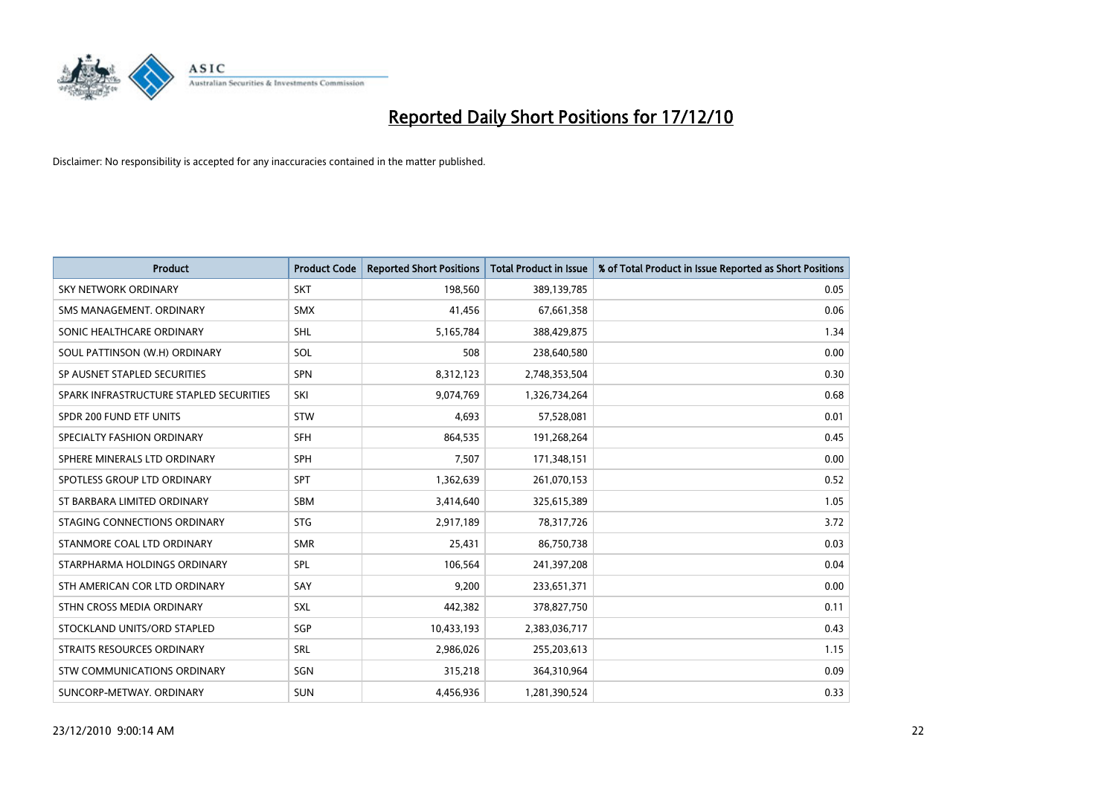

| <b>Product</b>                          | <b>Product Code</b> | <b>Reported Short Positions</b> | <b>Total Product in Issue</b> | % of Total Product in Issue Reported as Short Positions |
|-----------------------------------------|---------------------|---------------------------------|-------------------------------|---------------------------------------------------------|
| <b>SKY NETWORK ORDINARY</b>             | <b>SKT</b>          | 198,560                         | 389,139,785                   | 0.05                                                    |
| SMS MANAGEMENT. ORDINARY                | <b>SMX</b>          | 41,456                          | 67,661,358                    | 0.06                                                    |
| SONIC HEALTHCARE ORDINARY               | <b>SHL</b>          | 5,165,784                       | 388,429,875                   | 1.34                                                    |
| SOUL PATTINSON (W.H) ORDINARY           | SOL                 | 508                             | 238,640,580                   | 0.00                                                    |
| SP AUSNET STAPLED SECURITIES            | <b>SPN</b>          | 8,312,123                       | 2,748,353,504                 | 0.30                                                    |
| SPARK INFRASTRUCTURE STAPLED SECURITIES | SKI                 | 9,074,769                       | 1,326,734,264                 | 0.68                                                    |
| SPDR 200 FUND ETF UNITS                 | <b>STW</b>          | 4,693                           | 57,528,081                    | 0.01                                                    |
| SPECIALTY FASHION ORDINARY              | SFH                 | 864,535                         | 191,268,264                   | 0.45                                                    |
| SPHERE MINERALS LTD ORDINARY            | <b>SPH</b>          | 7,507                           | 171,348,151                   | 0.00                                                    |
| SPOTLESS GROUP LTD ORDINARY             | <b>SPT</b>          | 1,362,639                       | 261,070,153                   | 0.52                                                    |
| ST BARBARA LIMITED ORDINARY             | <b>SBM</b>          | 3,414,640                       | 325,615,389                   | 1.05                                                    |
| STAGING CONNECTIONS ORDINARY            | <b>STG</b>          | 2,917,189                       | 78,317,726                    | 3.72                                                    |
| STANMORE COAL LTD ORDINARY              | <b>SMR</b>          | 25,431                          | 86,750,738                    | 0.03                                                    |
| STARPHARMA HOLDINGS ORDINARY            | SPL                 | 106,564                         | 241,397,208                   | 0.04                                                    |
| STH AMERICAN COR LTD ORDINARY           | SAY                 | 9,200                           | 233,651,371                   | 0.00                                                    |
| STHN CROSS MEDIA ORDINARY               | SXL                 | 442,382                         | 378,827,750                   | 0.11                                                    |
| STOCKLAND UNITS/ORD STAPLED             | SGP                 | 10,433,193                      | 2,383,036,717                 | 0.43                                                    |
| STRAITS RESOURCES ORDINARY              | SRL                 | 2,986,026                       | 255,203,613                   | 1.15                                                    |
| STW COMMUNICATIONS ORDINARY             | SGN                 | 315,218                         | 364,310,964                   | 0.09                                                    |
| SUNCORP-METWAY, ORDINARY                | <b>SUN</b>          | 4,456,936                       | 1,281,390,524                 | 0.33                                                    |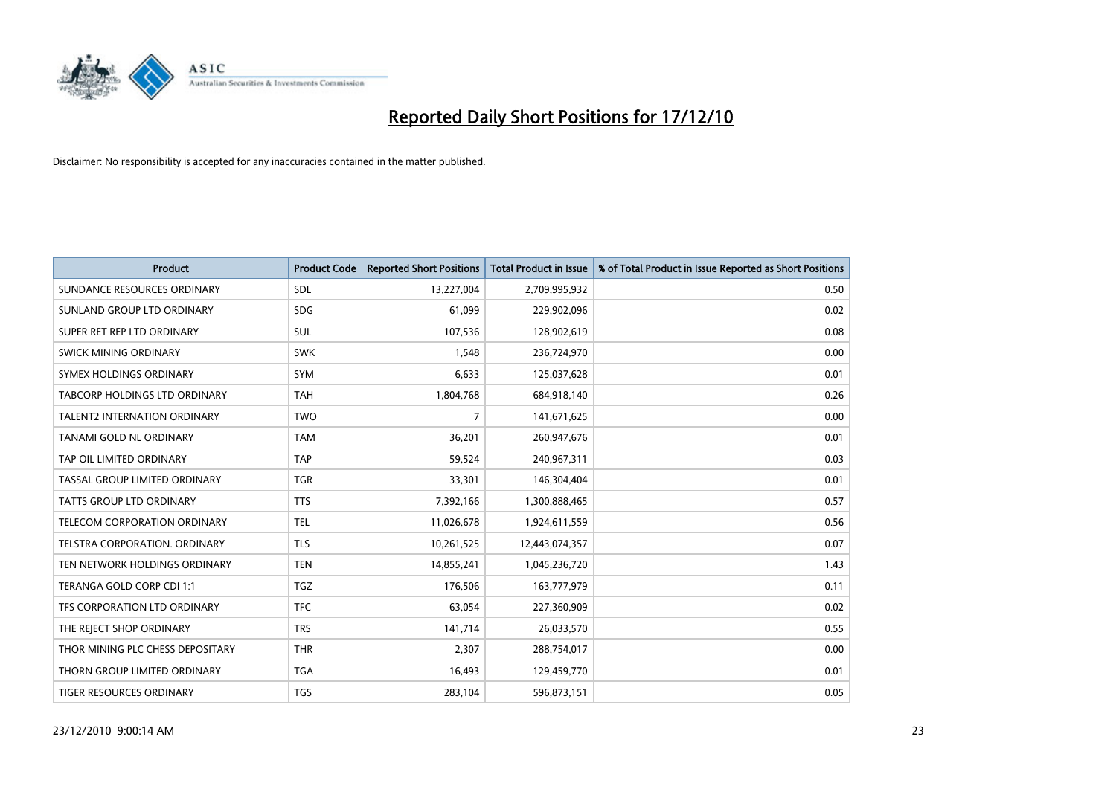

| <b>Product</b>                       | <b>Product Code</b> | <b>Reported Short Positions</b> | <b>Total Product in Issue</b> | % of Total Product in Issue Reported as Short Positions |
|--------------------------------------|---------------------|---------------------------------|-------------------------------|---------------------------------------------------------|
| SUNDANCE RESOURCES ORDINARY          | <b>SDL</b>          | 13,227,004                      | 2,709,995,932                 | 0.50                                                    |
| SUNLAND GROUP LTD ORDINARY           | <b>SDG</b>          | 61,099                          | 229,902,096                   | 0.02                                                    |
| SUPER RET REP LTD ORDINARY           | <b>SUL</b>          | 107,536                         | 128,902,619                   | 0.08                                                    |
| SWICK MINING ORDINARY                | <b>SWK</b>          | 1,548                           | 236,724,970                   | 0.00                                                    |
| SYMEX HOLDINGS ORDINARY              | <b>SYM</b>          | 6,633                           | 125,037,628                   | 0.01                                                    |
| <b>TABCORP HOLDINGS LTD ORDINARY</b> | <b>TAH</b>          | 1,804,768                       | 684,918,140                   | 0.26                                                    |
| <b>TALENT2 INTERNATION ORDINARY</b>  | <b>TWO</b>          | 7                               | 141,671,625                   | 0.00                                                    |
| TANAMI GOLD NL ORDINARY              | <b>TAM</b>          | 36,201                          | 260,947,676                   | 0.01                                                    |
| TAP OIL LIMITED ORDINARY             | <b>TAP</b>          | 59,524                          | 240,967,311                   | 0.03                                                    |
| TASSAL GROUP LIMITED ORDINARY        | <b>TGR</b>          | 33,301                          | 146,304,404                   | 0.01                                                    |
| <b>TATTS GROUP LTD ORDINARY</b>      | <b>TTS</b>          | 7,392,166                       | 1,300,888,465                 | 0.57                                                    |
| TELECOM CORPORATION ORDINARY         | <b>TEL</b>          | 11,026,678                      | 1,924,611,559                 | 0.56                                                    |
| <b>TELSTRA CORPORATION, ORDINARY</b> | <b>TLS</b>          | 10,261,525                      | 12,443,074,357                | 0.07                                                    |
| TEN NETWORK HOLDINGS ORDINARY        | <b>TEN</b>          | 14,855,241                      | 1,045,236,720                 | 1.43                                                    |
| TERANGA GOLD CORP CDI 1:1            | <b>TGZ</b>          | 176,506                         | 163,777,979                   | 0.11                                                    |
| TFS CORPORATION LTD ORDINARY         | <b>TFC</b>          | 63,054                          | 227,360,909                   | 0.02                                                    |
| THE REJECT SHOP ORDINARY             | <b>TRS</b>          | 141,714                         | 26,033,570                    | 0.55                                                    |
| THOR MINING PLC CHESS DEPOSITARY     | <b>THR</b>          | 2,307                           | 288,754,017                   | 0.00                                                    |
| THORN GROUP LIMITED ORDINARY         | <b>TGA</b>          | 16,493                          | 129,459,770                   | 0.01                                                    |
| TIGER RESOURCES ORDINARY             | <b>TGS</b>          | 283,104                         | 596,873,151                   | 0.05                                                    |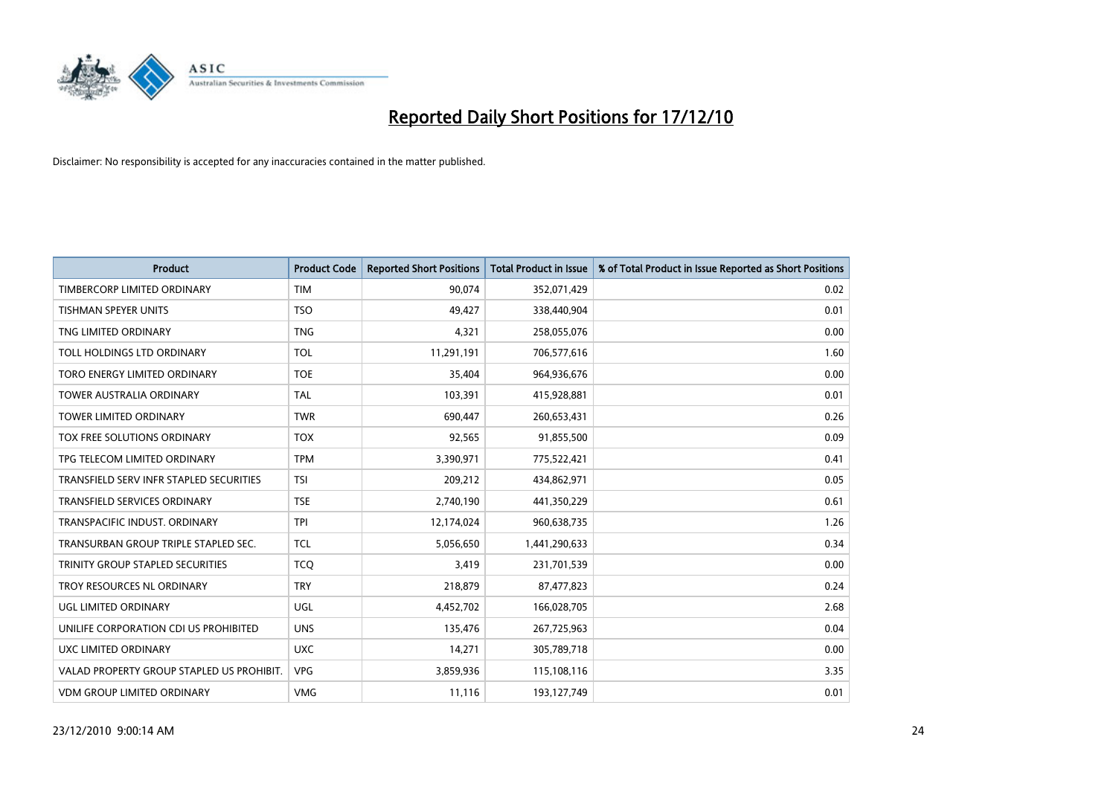

| <b>Product</b>                            | <b>Product Code</b> | <b>Reported Short Positions</b> | <b>Total Product in Issue</b> | % of Total Product in Issue Reported as Short Positions |
|-------------------------------------------|---------------------|---------------------------------|-------------------------------|---------------------------------------------------------|
| TIMBERCORP LIMITED ORDINARY               | <b>TIM</b>          | 90,074                          | 352,071,429                   | 0.02                                                    |
| TISHMAN SPEYER UNITS                      | <b>TSO</b>          | 49,427                          | 338,440,904                   | 0.01                                                    |
| TNG LIMITED ORDINARY                      | <b>TNG</b>          | 4,321                           | 258,055,076                   | 0.00                                                    |
| TOLL HOLDINGS LTD ORDINARY                | TOL                 | 11,291,191                      | 706,577,616                   | 1.60                                                    |
| TORO ENERGY LIMITED ORDINARY              | <b>TOE</b>          | 35,404                          | 964,936,676                   | 0.00                                                    |
| <b>TOWER AUSTRALIA ORDINARY</b>           | <b>TAL</b>          | 103,391                         | 415,928,881                   | 0.01                                                    |
| <b>TOWER LIMITED ORDINARY</b>             | <b>TWR</b>          | 690,447                         | 260,653,431                   | 0.26                                                    |
| TOX FREE SOLUTIONS ORDINARY               | <b>TOX</b>          | 92,565                          | 91,855,500                    | 0.09                                                    |
| TPG TELECOM LIMITED ORDINARY              | <b>TPM</b>          | 3,390,971                       | 775,522,421                   | 0.41                                                    |
| TRANSFIELD SERV INFR STAPLED SECURITIES   | <b>TSI</b>          | 209,212                         | 434,862,971                   | 0.05                                                    |
| <b>TRANSFIELD SERVICES ORDINARY</b>       | <b>TSE</b>          | 2,740,190                       | 441,350,229                   | 0.61                                                    |
| TRANSPACIFIC INDUST. ORDINARY             | <b>TPI</b>          | 12,174,024                      | 960,638,735                   | 1.26                                                    |
| TRANSURBAN GROUP TRIPLE STAPLED SEC.      | <b>TCL</b>          | 5,056,650                       | 1,441,290,633                 | 0.34                                                    |
| TRINITY GROUP STAPLED SECURITIES          | <b>TCO</b>          | 3,419                           | 231,701,539                   | 0.00                                                    |
| TROY RESOURCES NL ORDINARY                | <b>TRY</b>          | 218,879                         | 87,477,823                    | 0.24                                                    |
| UGL LIMITED ORDINARY                      | UGL                 | 4,452,702                       | 166,028,705                   | 2.68                                                    |
| UNILIFE CORPORATION CDI US PROHIBITED     | <b>UNS</b>          | 135,476                         | 267,725,963                   | 0.04                                                    |
| UXC LIMITED ORDINARY                      | <b>UXC</b>          | 14,271                          | 305,789,718                   | 0.00                                                    |
| VALAD PROPERTY GROUP STAPLED US PROHIBIT. | <b>VPG</b>          | 3,859,936                       | 115,108,116                   | 3.35                                                    |
| VDM GROUP LIMITED ORDINARY                | <b>VMG</b>          | 11,116                          | 193,127,749                   | 0.01                                                    |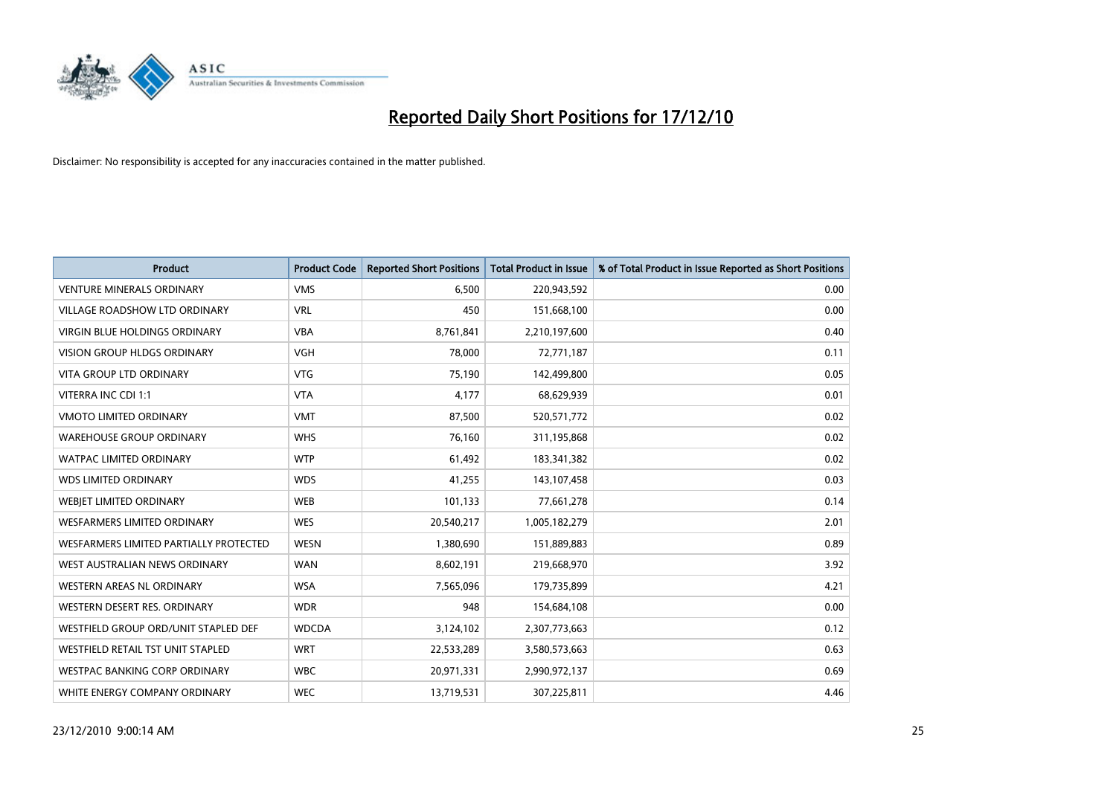

| <b>Product</b>                         | <b>Product Code</b> | <b>Reported Short Positions</b> | <b>Total Product in Issue</b> | % of Total Product in Issue Reported as Short Positions |
|----------------------------------------|---------------------|---------------------------------|-------------------------------|---------------------------------------------------------|
| <b>VENTURE MINERALS ORDINARY</b>       | <b>VMS</b>          | 6,500                           | 220,943,592                   | 0.00                                                    |
| VILLAGE ROADSHOW LTD ORDINARY          | <b>VRL</b>          | 450                             | 151,668,100                   | 0.00                                                    |
| <b>VIRGIN BLUE HOLDINGS ORDINARY</b>   | <b>VBA</b>          | 8,761,841                       | 2,210,197,600                 | 0.40                                                    |
| <b>VISION GROUP HLDGS ORDINARY</b>     | <b>VGH</b>          | 78,000                          | 72,771,187                    | 0.11                                                    |
| <b>VITA GROUP LTD ORDINARY</b>         | <b>VTG</b>          | 75,190                          | 142,499,800                   | 0.05                                                    |
| VITERRA INC CDI 1:1                    | <b>VTA</b>          | 4,177                           | 68,629,939                    | 0.01                                                    |
| <b>VMOTO LIMITED ORDINARY</b>          | <b>VMT</b>          | 87,500                          | 520,571,772                   | 0.02                                                    |
| <b>WAREHOUSE GROUP ORDINARY</b>        | <b>WHS</b>          | 76,160                          | 311,195,868                   | 0.02                                                    |
| <b>WATPAC LIMITED ORDINARY</b>         | <b>WTP</b>          | 61,492                          | 183,341,382                   | 0.02                                                    |
| <b>WDS LIMITED ORDINARY</b>            | <b>WDS</b>          | 41,255                          | 143,107,458                   | 0.03                                                    |
| <b>WEBJET LIMITED ORDINARY</b>         | <b>WEB</b>          | 101,133                         | 77,661,278                    | 0.14                                                    |
| <b>WESFARMERS LIMITED ORDINARY</b>     | <b>WES</b>          | 20,540,217                      | 1,005,182,279                 | 2.01                                                    |
| WESFARMERS LIMITED PARTIALLY PROTECTED | <b>WESN</b>         | 1,380,690                       | 151,889,883                   | 0.89                                                    |
| WEST AUSTRALIAN NEWS ORDINARY          | <b>WAN</b>          | 8,602,191                       | 219,668,970                   | 3.92                                                    |
| WESTERN AREAS NL ORDINARY              | <b>WSA</b>          | 7,565,096                       | 179,735,899                   | 4.21                                                    |
| WESTERN DESERT RES. ORDINARY           | <b>WDR</b>          | 948                             | 154,684,108                   | 0.00                                                    |
| WESTFIELD GROUP ORD/UNIT STAPLED DEF   | <b>WDCDA</b>        | 3,124,102                       | 2,307,773,663                 | 0.12                                                    |
| WESTFIELD RETAIL TST UNIT STAPLED      | <b>WRT</b>          | 22,533,289                      | 3,580,573,663                 | 0.63                                                    |
| <b>WESTPAC BANKING CORP ORDINARY</b>   | <b>WBC</b>          | 20,971,331                      | 2,990,972,137                 | 0.69                                                    |
| WHITE ENERGY COMPANY ORDINARY          | <b>WEC</b>          | 13,719,531                      | 307,225,811                   | 4.46                                                    |